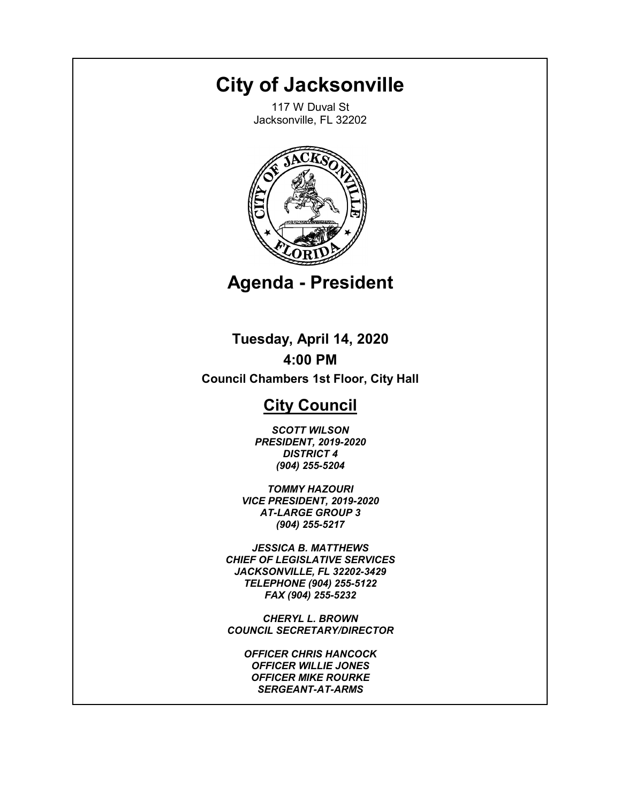# **City of Jacksonville**

117 W Duval St Jacksonville, FL 32202



**Agenda - President**

**Tuesday, April 14, 2020 4:00 PM**

**Council Chambers 1st Floor, City Hall**

# **City Council**

*HONORABLE SCOTT WILSON PRESIDENT, 2019-2020 DISTRICT 4 (904) 255-5204*

*HONORABLE TOMMY HAZOURI VICE PRESIDENT, 2019-2020 AT-LARGE GROUP 3 (904) 255-5217*

*JESSICA B. MATTHEWS CHIEF OF LEGISLATIVE SERVICES JACKSONVILLE, FL 32202-3429 TELEPHONE (904) 255-5122 FAX (904) 255-5232*

*CHERYL L. BROWN COUNCIL SECRETARY/DIRECTOR*

*OFFICER CHRIS HANCOCK OFFICER WILLIE JONES OFFICER MIKE ROURKE SERGEANT-AT-ARMS*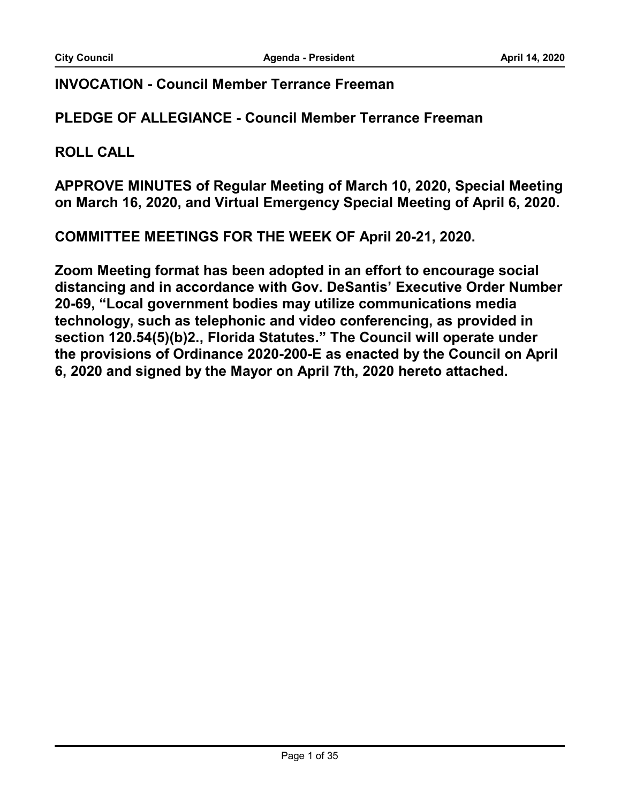#### **INVOCATION - Council Member Terrance Freeman**

**PLEDGE OF ALLEGIANCE - Council Member Terrance Freeman**

**ROLL CALL**

**APPROVE MINUTES of Regular Meeting of March 10, 2020, Special Meeting on March 16, 2020, and Virtual Emergency Special Meeting of April 6, 2020.**

**COMMITTEE MEETINGS FOR THE WEEK OF April 20-21, 2020.**

**Zoom Meeting format has been adopted in an effort to encourage social distancing and in accordance with Gov. DeSantis' Executive Order Number 20-69, "Local government bodies may utilize communications media technology, such as telephonic and video conferencing, as provided in section 120.54(5)(b)2., Florida Statutes." The Council will operate under the provisions of Ordinance 2020-200-E as enacted by the Council on April 6, 2020 and signed by the Mayor on April 7th, 2020 hereto attached.**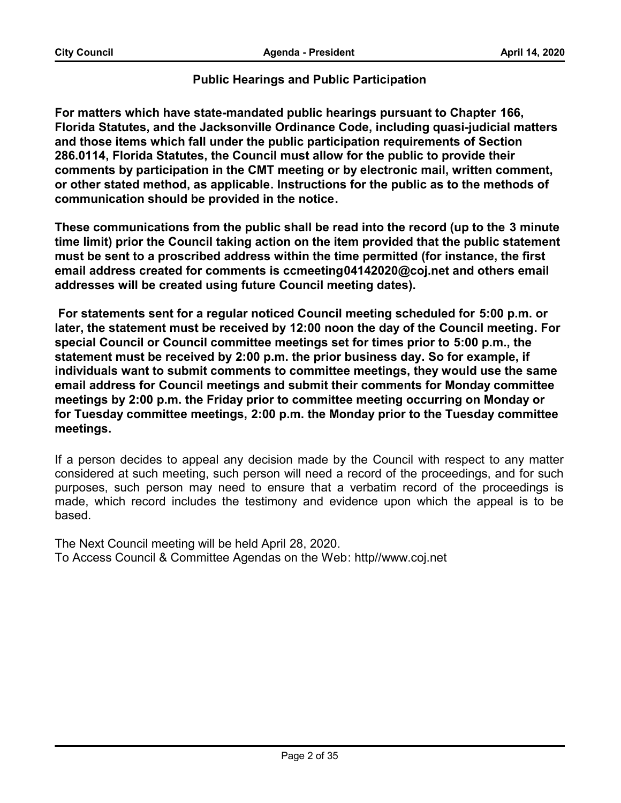#### **Public Hearings and Public Participation**

**For matters which have state-mandated public hearings pursuant to Chapter 166, Florida Statutes, and the Jacksonville Ordinance Code, including quasi-judicial matters and those items which fall under the public participation requirements of Section 286.0114, Florida Statutes, the Council must allow for the public to provide their comments by participation in the CMT meeting or by electronic mail, written comment, or other stated method, as applicable. Instructions for the public as to the methods of communication should be provided in the notice.** 

**These communications from the public shall be read into the record (up to the 3 minute time limit) prior the Council taking action on the item provided that the public statement must be sent to a proscribed address within the time permitted (for instance, the first email address created for comments is ccmeeting04142020@coj.net and others email addresses will be created using future Council meeting dates).**

 **For statements sent for a regular noticed Council meeting scheduled for 5:00 p.m. or later, the statement must be received by 12:00 noon the day of the Council meeting. For special Council or Council committee meetings set for times prior to 5:00 p.m., the statement must be received by 2:00 p.m. the prior business day. So for example, if individuals want to submit comments to committee meetings, they would use the same email address for Council meetings and submit their comments for Monday committee meetings by 2:00 p.m. the Friday prior to committee meeting occurring on Monday or for Tuesday committee meetings, 2:00 p.m. the Monday prior to the Tuesday committee meetings.**

#### **Email address created for comments is ccmeeting04142020@coj.net**

If a person decides to appeal any decision made by the Council with respect to any matter considered at such meeting, such person will need a record of the proceedings, and for such purposes, such person may need to ensure that a verbatim record of the proceedings is made, which record includes the testimony and evidence upon which the appeal is to be based.

> The Next Council meeting will be held April 28, 2020. To Access Council & Committee Agendas on the Web: http//www.coj.net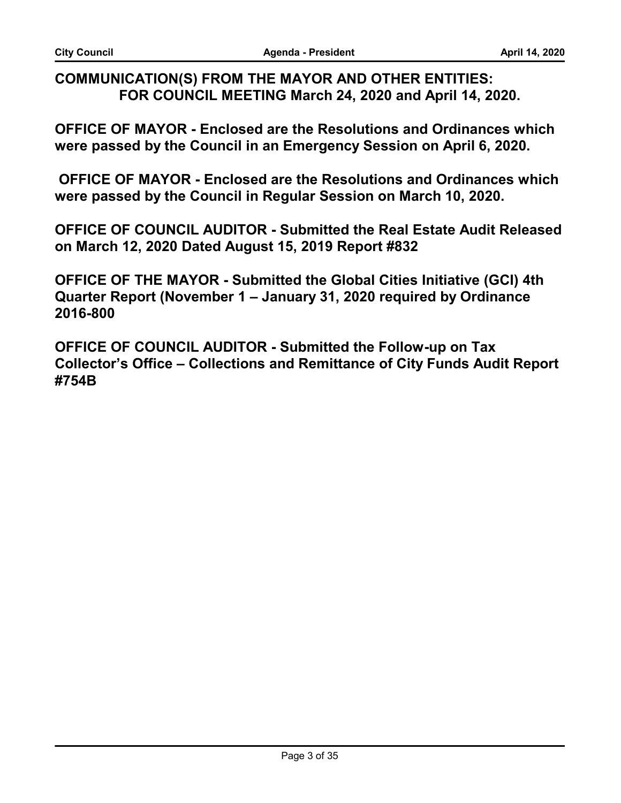### **COMMUNICATION(S) FROM THE MAYOR AND OTHER ENTITIES: FOR COUNCIL MEETING March 24, 2020 and April 14, 2020.**

**OFFICE OF MAYOR - Enclosed are the Resolutions and Ordinances which were passed by the Council in an Emergency Session on April 6, 2020.** 

 **OFFICE OF MAYOR - Enclosed are the Resolutions and Ordinances which were passed by the Council in Regular Session on March 10, 2020.** 

**OFFICE OF COUNCIL AUDITOR - Submitted the Real Estate Audit Released on March 12, 2020 Dated August 15, 2019 Report #832**

**OFFICE OF THE MAYOR - Submitted the Global Cities Initiative (GCI) 4th Quarter Report (November 1 – January 31, 2020 required by Ordinance 2016-800**

**OFFICE OF COUNCIL AUDITOR - Submitted the Follow-up on Tax Collector's Office – Collections and Remittance of City Funds Audit Report #754B**

**\****CLERK READS\**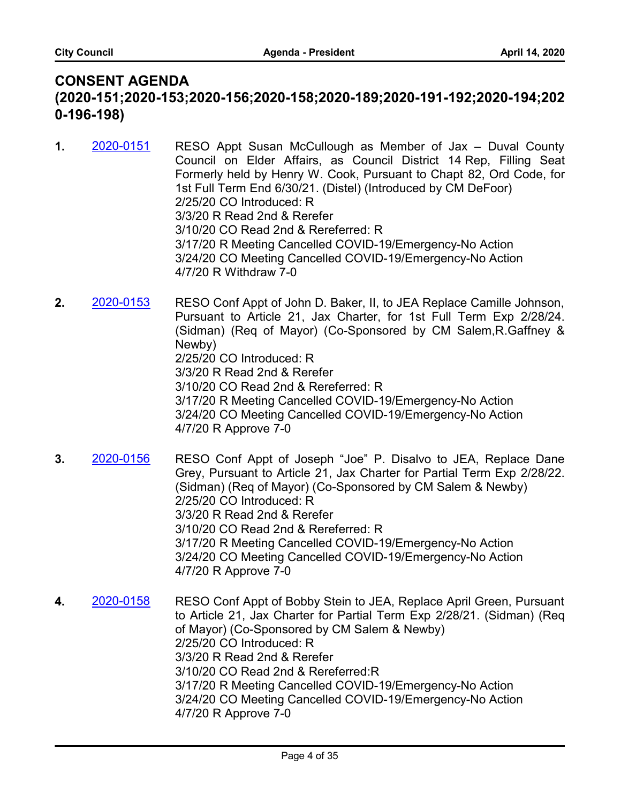# **CONSENT AGENDA (2020-151;2020-153;2020-156;2020-158;2020-189;2020-191-192;2020-194;202 0-196-198)**

- RESO Appt Susan McCullough as Member of Jax Duval County Council on Elder Affairs, as Council District 14 Rep, Filling Seat Formerly held by Henry W. Cook, Pursuant to Chapt 82, Ord Code, for 1st Full Term End 6/30/21. (Distel) (Introduced by CM DeFoor) 2/25/20 CO Introduced: R 3/3/20 R Read 2nd & Rerefer 3/10/20 CO Read 2nd & Rereferred: R 3/17/20 R Meeting Cancelled COVID-19/Emergency-No Action 3/24/20 CO Meeting Cancelled COVID-19/Emergency-No Action 4/7/20 R Withdraw 7-0 **1.** [2020-0151](http://jaxcityc.legistar.com/gateway.aspx?m=l&id=/matter.aspx?key=2214)
- RESO Conf Appt of John D. Baker, II, to JEA Replace Camille Johnson, Pursuant to Article 21, Jax Charter, for 1st Full Term Exp 2/28/24. (Sidman) (Req of Mayor) (Co-Sponsored by CM Salem,R.Gaffney & Newby) 2/25/20 CO Introduced: R 3/3/20 R Read 2nd & Rerefer 3/10/20 CO Read 2nd & Rereferred: R 3/17/20 R Meeting Cancelled COVID-19/Emergency-No Action 3/24/20 CO Meeting Cancelled COVID-19/Emergency-No Action 4/7/20 R Approve 7-0 **2.** [2020-0153](http://jaxcityc.legistar.com/gateway.aspx?m=l&id=/matter.aspx?key=2216)
- RESO Conf Appt of Joseph "Joe" P. Disalvo to JEA, Replace Dane Grey, Pursuant to Article 21, Jax Charter for Partial Term Exp 2/28/22. (Sidman) (Req of Mayor) (Co-Sponsored by CM Salem & Newby) 2/25/20 CO Introduced: R 3/3/20 R Read 2nd & Rerefer 3/10/20 CO Read 2nd & Rereferred: R 3/17/20 R Meeting Cancelled COVID-19/Emergency-No Action 3/24/20 CO Meeting Cancelled COVID-19/Emergency-No Action 4/7/20 R Approve 7-0 **3.** [2020-0156](http://jaxcityc.legistar.com/gateway.aspx?m=l&id=/matter.aspx?key=2219)

RESO Conf Appt of Bobby Stein to JEA, Replace April Green, Pursuant to Article 21, Jax Charter for Partial Term Exp 2/28/21. (Sidman) (Req of Mayor) (Co-Sponsored by CM Salem & Newby) 2/25/20 CO Introduced: R 3/3/20 R Read 2nd & Rerefer 3/10/20 CO Read 2nd & Rereferred:R 3/17/20 R Meeting Cancelled COVID-19/Emergency-No Action 3/24/20 CO Meeting Cancelled COVID-19/Emergency-No Action 4/7/20 R Approve 7-0 **4.** [2020-0158](http://jaxcityc.legistar.com/gateway.aspx?m=l&id=/matter.aspx?key=2221)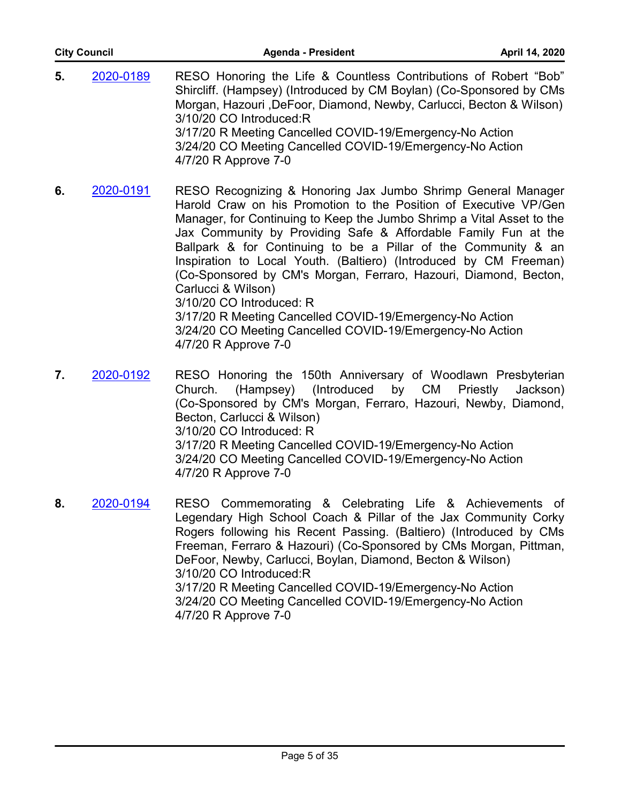| <b>City Council</b> |           | <b>Agenda - President</b>                                                                                                                                                                                                                                                                                                                                                                                                                                                              | April 14, 2020 |
|---------------------|-----------|----------------------------------------------------------------------------------------------------------------------------------------------------------------------------------------------------------------------------------------------------------------------------------------------------------------------------------------------------------------------------------------------------------------------------------------------------------------------------------------|----------------|
| 5.                  | 2020-0189 | RESO Honoring the Life & Countless Contributions of Robert "Bob"<br>Shircliff. (Hampsey) (Introduced by CM Boylan) (Co-Sponsored by CMs<br>Morgan, Hazouri, DeFoor, Diamond, Newby, Carlucci, Becton & Wilson)<br>3/10/20 CO Introduced:R<br>3/17/20 R Meeting Cancelled COVID-19/Emergency-No Action<br>3/24/20 CO Meeting Cancelled COVID-19/Emergency-No Action<br>4/7/20 R Approve 7-0                                                                                             |                |
| 6.                  | 2020-0191 | RESO Recognizing & Honoring Jax Jumbo Shrimp General Manager<br>Harold Craw on his Promotion to the Position of Executive VP/Gen<br>Manager, for Continuing to Keep the Jumbo Shrimp a Vital Asset to the<br>Jax Community by Providing Safe & Affordable Family Fun at the<br>Ballpark & for Continuing to be a Pillar of the Community & an<br>Inspiration to Local Youth. (Baltiero) (Introduced by CM Freeman)<br>(Co-Sponsored by CM's Morgan, Ferraro, Hazouri, Diamond, Becton, |                |

Carlucci & Wilson) 3/10/20 CO Introduced: R

3/17/20 R Meeting Cancelled COVID-19/Emergency-No Action 3/24/20 CO Meeting Cancelled COVID-19/Emergency-No Action 4/7/20 R Approve 7-0

- RESO Honoring the 150th Anniversary of Woodlawn Presbyterian Church. (Hampsey) (Introduced by CM Priestly Jackson) (Co-Sponsored by CM's Morgan, Ferraro, Hazouri, Newby, Diamond, Becton, Carlucci & Wilson) 3/10/20 CO Introduced: R 3/17/20 R Meeting Cancelled COVID-19/Emergency-No Action 3/24/20 CO Meeting Cancelled COVID-19/Emergency-No Action 4/7/20 R Approve 7-0 **7.** [2020-0192](http://jaxcityc.legistar.com/gateway.aspx?m=l&id=/matter.aspx?key=2259)
- RESO Commemorating & Celebrating Life & Achievements of Legendary High School Coach & Pillar of the Jax Community Corky Rogers following his Recent Passing. (Baltiero) (Introduced by CMs Freeman, Ferraro & Hazouri) (Co-Sponsored by CMs Morgan, Pittman, DeFoor, Newby, Carlucci, Boylan, Diamond, Becton & Wilson) 3/10/20 CO Introduced:R 3/17/20 R Meeting Cancelled COVID-19/Emergency-No Action 3/24/20 CO Meeting Cancelled COVID-19/Emergency-No Action 4/7/20 R Approve 7-0 **8.** [2020-0194](http://jaxcityc.legistar.com/gateway.aspx?m=l&id=/matter.aspx?key=2261)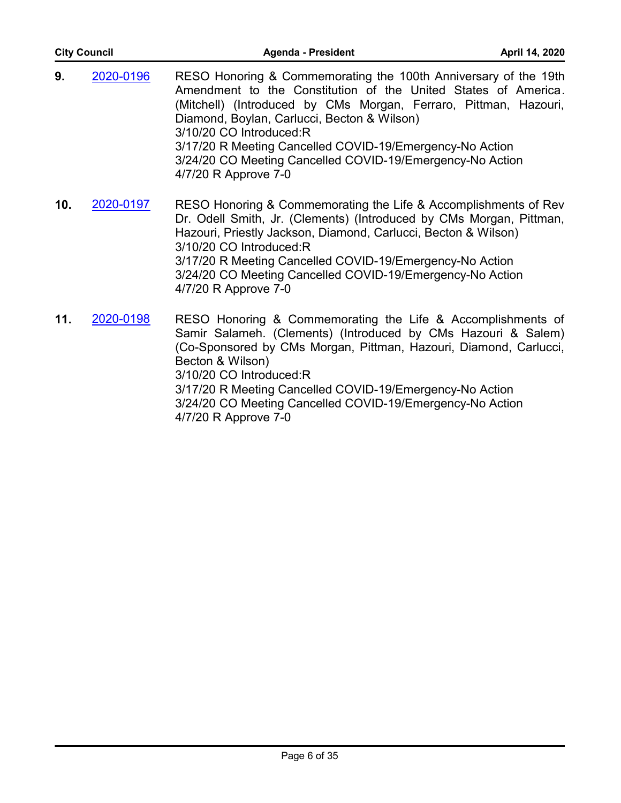| <b>City Council</b> |           | <b>Agenda - President</b>                                                                                                                                                                                                                                                                                                                                                                                                        | April 14, 2020 |
|---------------------|-----------|----------------------------------------------------------------------------------------------------------------------------------------------------------------------------------------------------------------------------------------------------------------------------------------------------------------------------------------------------------------------------------------------------------------------------------|----------------|
| 9.                  | 2020-0196 | RESO Honoring & Commemorating the 100th Anniversary of the 19th<br>Amendment to the Constitution of the United States of America.<br>(Mitchell) (Introduced by CMs Morgan, Ferraro, Pittman, Hazouri,<br>Diamond, Boylan, Carlucci, Becton & Wilson)<br>3/10/20 CO Introduced:R<br>3/17/20 R Meeting Cancelled COVID-19/Emergency-No Action<br>3/24/20 CO Meeting Cancelled COVID-19/Emergency-No Action<br>4/7/20 R Approve 7-0 |                |
| 10.                 | 2020-0197 | RESO Honoring & Commemorating the Life & Accomplishments of Rev<br>Dr. Odell Smith, Jr. (Clements) (Introduced by CMs Morgan, Pittman,<br>Hazouri, Priestly Jackson, Diamond, Carlucci, Becton & Wilson)<br>3/10/20 CO Introduced:R<br>3/17/20 R Meeting Cancelled COVID-19/Emergency-No Action<br>3/24/20 CO Meeting Cancelled COVID-19/Emergency-No Action<br>4/7/20 R Approve 7-0                                             |                |
| 11.                 | 2020-0198 | RESO Honoring & Commemorating the Life & Accomplishments of<br>Samir Salameh. (Clements) (Introduced by CMs Hazouri & Salem)<br>(Co-Sponsored by CMs Morgan, Pittman, Hazouri, Diamond, Carlucci,                                                                                                                                                                                                                                |                |

Becton & Wilson)

3/10/20 CO Introduced:R 3/17/20 R Meeting Cancelled COVID-19/Emergency-No Action 3/24/20 CO Meeting Cancelled COVID-19/Emergency-No Action 4/7/20 R Approve 7-0

**\****RECOGNIZE RULES CHAIR\**

*\*STATEMENT 2\**

*\*CLERK READS\**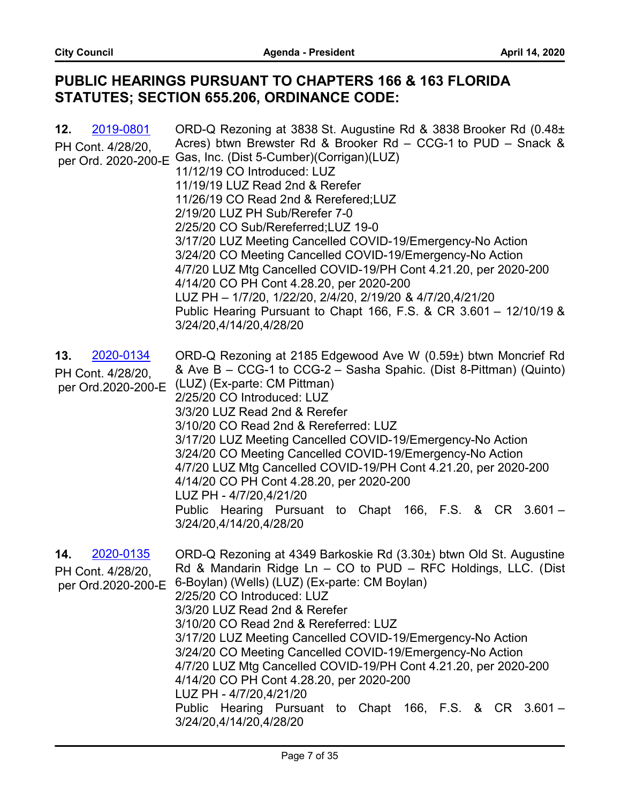# **PUBLIC HEARINGS PURSUANT TO CHAPTERS 166 & 163 FLORIDA STATUTES; SECTION 655.206, ORDINANCE CODE:**

| 2019-0801<br>12.<br>PH Cont. 4/28/20,<br>per Ord. 2020-200-E | ORD-Q Rezoning at 3838 St. Augustine Rd & 3838 Brooker Rd (0.48±<br>Acres) btwn Brewster Rd & Brooker Rd - CCG-1 to PUD - Snack &<br>Gas, Inc. (Dist 5-Cumber)(Corrigan)(LUZ)<br>11/12/19 CO Introduced: LUZ<br>11/19/19 LUZ Read 2nd & Rerefer<br>11/26/19 CO Read 2nd & Rerefered;LUZ<br>2/19/20 LUZ PH Sub/Rerefer 7-0<br>2/25/20 CO Sub/Rereferred; LUZ 19-0<br>3/17/20 LUZ Meeting Cancelled COVID-19/Emergency-No Action<br>3/24/20 CO Meeting Cancelled COVID-19/Emergency-No Action<br>4/7/20 LUZ Mtg Cancelled COVID-19/PH Cont 4.21.20, per 2020-200<br>4/14/20 CO PH Cont 4.28.20, per 2020-200<br>LUZ PH - 1/7/20, 1/22/20, 2/4/20, 2/19/20 & 4/7/20,4/21/20<br>Public Hearing Pursuant to Chapt 166, F.S. & CR 3.601 - 12/10/19 &<br>3/24/20,4/14/20,4/28/20 |
|--------------------------------------------------------------|---------------------------------------------------------------------------------------------------------------------------------------------------------------------------------------------------------------------------------------------------------------------------------------------------------------------------------------------------------------------------------------------------------------------------------------------------------------------------------------------------------------------------------------------------------------------------------------------------------------------------------------------------------------------------------------------------------------------------------------------------------------------------|
| 2020-0134<br>13.<br>PH Cont. 4/28/20,<br>per Ord.2020-200-E  | ORD-Q Rezoning at 2185 Edgewood Ave W (0.59±) btwn Moncrief Rd<br>& Ave B - CCG-1 to CCG-2 - Sasha Spahic. (Dist 8-Pittman) (Quinto)<br>(LUZ) (Ex-parte: CM Pittman)<br>2/25/20 CO Introduced: LUZ<br>3/3/20 LUZ Read 2nd & Rerefer<br>3/10/20 CO Read 2nd & Rereferred: LUZ<br>3/17/20 LUZ Meeting Cancelled COVID-19/Emergency-No Action<br>3/24/20 CO Meeting Cancelled COVID-19/Emergency-No Action<br>4/7/20 LUZ Mtg Cancelled COVID-19/PH Cont 4.21.20, per 2020-200<br>4/14/20 CO PH Cont 4.28.20, per 2020-200<br>LUZ PH - 4/7/20,4/21/20<br>Public Hearing Pursuant to Chapt 166, F.S. & CR 3.601 -<br>3/24/20,4/14/20,4/28/20                                                                                                                                   |
| 2020-0135<br>14.<br>PH Cont. 4/28/20,<br>per Ord.2020-200-E  | ORD-Q Rezoning at 4349 Barkoskie Rd (3.30±) btwn Old St. Augustine<br>Rd & Mandarin Ridge Ln - CO to PUD - RFC Holdings, LLC. (Dist<br>6-Boylan) (Wells) (LUZ) (Ex-parte: CM Boylan)<br>2/25/20 CO Introduced: LUZ<br>3/3/20 LUZ Read 2nd & Rerefer<br>3/10/20 CO Read 2nd & Rereferred: LUZ<br>3/17/20 LUZ Meeting Cancelled COVID-19/Emergency-No Action<br>3/24/20 CO Meeting Cancelled COVID-19/Emergency-No Action<br>4/7/20 LUZ Mtg Cancelled COVID-19/PH Cont 4.21.20, per 2020-200<br>4/14/20 CO PH Cont 4.28.20, per 2020-200<br>LUZ PH - 4/7/20,4/21/20<br>Public Hearing Pursuant to Chapt 166, F.S. & CR 3.601 -<br>3/24/20,4/14/20,4/28/20                                                                                                                   |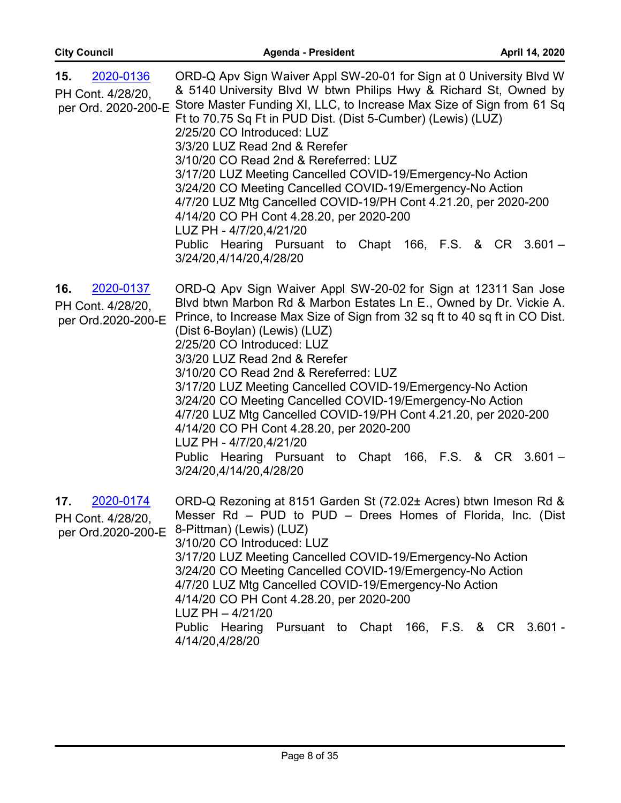| 2020-0136<br>15.<br>PH Cont. 4/28/20,<br>per Ord. 2020-200-E | ORD-Q Apv Sign Waiver Appl SW-20-01 for Sign at 0 University Blvd W<br>& 5140 University Blvd W btwn Philips Hwy & Richard St, Owned by<br>Store Master Funding XI, LLC, to Increase Max Size of Sign from 61 Sq<br>Ft to 70.75 Sq Ft in PUD Dist. (Dist 5-Cumber) (Lewis) (LUZ)<br>2/25/20 CO Introduced: LUZ<br>3/3/20 LUZ Read 2nd & Rerefer<br>3/10/20 CO Read 2nd & Rereferred: LUZ<br>3/17/20 LUZ Meeting Cancelled COVID-19/Emergency-No Action<br>3/24/20 CO Meeting Cancelled COVID-19/Emergency-No Action<br>4/7/20 LUZ Mtg Cancelled COVID-19/PH Cont 4.21.20, per 2020-200<br>4/14/20 CO PH Cont 4.28.20, per 2020-200<br>LUZ PH - 4/7/20,4/21/20<br>Public Hearing Pursuant to Chapt 166, F.S. & CR 3.601 -<br>3/24/20,4/14/20,4/28/20 |
|--------------------------------------------------------------|-----------------------------------------------------------------------------------------------------------------------------------------------------------------------------------------------------------------------------------------------------------------------------------------------------------------------------------------------------------------------------------------------------------------------------------------------------------------------------------------------------------------------------------------------------------------------------------------------------------------------------------------------------------------------------------------------------------------------------------------------------|
| 2020-0137<br>16.<br>PH Cont. 4/28/20,<br>per Ord.2020-200-E  | ORD-Q Apv Sign Waiver Appl SW-20-02 for Sign at 12311 San Jose<br>Blvd btwn Marbon Rd & Marbon Estates Ln E., Owned by Dr. Vickie A.<br>Prince, to Increase Max Size of Sign from 32 sq ft to 40 sq ft in CO Dist.<br>(Dist 6-Boylan) (Lewis) (LUZ)<br>2/25/20 CO Introduced: LUZ<br>3/3/20 LUZ Read 2nd & Rerefer<br>3/10/20 CO Read 2nd & Rereferred: LUZ<br>3/17/20 LUZ Meeting Cancelled COVID-19/Emergency-No Action<br>3/24/20 CO Meeting Cancelled COVID-19/Emergency-No Action<br>4/7/20 LUZ Mtg Cancelled COVID-19/PH Cont 4.21.20, per 2020-200<br>4/14/20 CO PH Cont 4.28.20, per 2020-200<br>LUZ PH - 4/7/20,4/21/20<br>Public Hearing Pursuant to Chapt 166, F.S. & CR 3.601 -<br>3/24/20,4/14/20,4/28/20                              |
| 17.<br>2020-0174<br>PH Cont. 4/28/20                         | ORD-Q Rezoning at 8151 Garden St (72.02± Acres) btwn Imeson Rd &<br>Messer Rd – PUD to PUD – Drees Homes of Florida, Inc. (Dist<br>per Ord.2020-200-E 8-Pittman) (Lewis) (LUZ)<br>3/10/20 CO Introduced: LUZ<br>3/17/20 LUZ Meeting Cancelled COVID-19/Emergency-No Action<br>3/24/20 CO Meeting Cancelled COVID-19/Emergency-No Action<br>4/7/20 LUZ Mtg Cancelled COVID-19/Emergency-No Action<br>4/14/20 CO PH Cont 4.28.20, per 2020-200<br>LUZ PH - 4/21/20<br>Public Hearing Pursuant to Chapt 166, F.S. & CR 3.601 -<br>4/14/20,4/28/20                                                                                                                                                                                                      |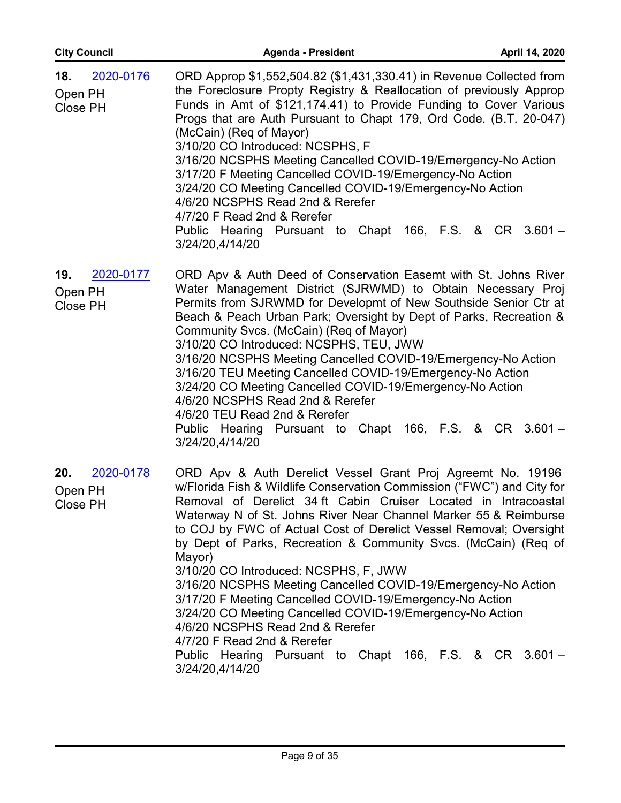| <b>City Council</b>                            | <b>Agenda - President</b>                                                                                                                                                                                                                                                                                                                                                                                                                                                                                                                                                                                                                                                                                                                                                                                           | April 14, 2020 |
|------------------------------------------------|---------------------------------------------------------------------------------------------------------------------------------------------------------------------------------------------------------------------------------------------------------------------------------------------------------------------------------------------------------------------------------------------------------------------------------------------------------------------------------------------------------------------------------------------------------------------------------------------------------------------------------------------------------------------------------------------------------------------------------------------------------------------------------------------------------------------|----------------|
| 2020-0176<br>18.<br>Open PH<br><b>Close PH</b> | ORD Approp \$1,552,504.82 (\$1,431,330.41) in Revenue Collected from<br>the Foreclosure Propty Registry & Reallocation of previously Approp<br>Funds in Amt of \$121,174.41) to Provide Funding to Cover Various<br>Progs that are Auth Pursuant to Chapt 179, Ord Code. (B.T. 20-047)<br>(McCain) (Req of Mayor)<br>3/10/20 CO Introduced: NCSPHS, F<br>3/16/20 NCSPHS Meeting Cancelled COVID-19/Emergency-No Action<br>3/17/20 F Meeting Cancelled COVID-19/Emergency-No Action<br>3/24/20 CO Meeting Cancelled COVID-19/Emergency-No Action<br>4/6/20 NCSPHS Read 2nd & Rerefer<br>4/7/20 F Read 2nd & Rerefer<br>Public Hearing Pursuant to Chapt 166, F.S. & CR 3.601 -<br>3/24/20,4/14/20                                                                                                                    |                |
| 2020-0177<br>19.<br>Open PH<br><b>Close PH</b> | ORD Apv & Auth Deed of Conservation Easemt with St. Johns River<br>Water Management District (SJRWMD) to Obtain Necessary Proj<br>Permits from SJRWMD for Developmt of New Southside Senior Ctr at<br>Beach & Peach Urban Park; Oversight by Dept of Parks, Recreation &<br>Community Svcs. (McCain) (Req of Mayor)<br>3/10/20 CO Introduced: NCSPHS, TEU, JWW<br>3/16/20 NCSPHS Meeting Cancelled COVID-19/Emergency-No Action<br>3/16/20 TEU Meeting Cancelled COVID-19/Emergency-No Action<br>3/24/20 CO Meeting Cancelled COVID-19/Emergency-No Action<br>4/6/20 NCSPHS Read 2nd & Rerefer<br>4/6/20 TEU Read 2nd & Rerefer<br>Public Hearing Pursuant to Chapt 166, F.S. & CR 3.601 -<br>3/24/20,4/14/20                                                                                                       |                |
| 2020-0178<br>20.<br>Open PH<br>Close PH        | ORD Apv & Auth Derelict Vessel Grant Proj Agreemt No. 19196<br>w/Florida Fish & Wildlife Conservation Commission ("FWC") and City for<br>Removal of Derelict 34 ft Cabin Cruiser Located in Intracoastal<br>Waterway N of St. Johns River Near Channel Marker 55 & Reimburse<br>to COJ by FWC of Actual Cost of Derelict Vessel Removal; Oversight<br>by Dept of Parks, Recreation & Community Svcs. (McCain) (Req of<br>Mayor)<br>3/10/20 CO Introduced: NCSPHS, F, JWW<br>3/16/20 NCSPHS Meeting Cancelled COVID-19/Emergency-No Action<br>3/17/20 F Meeting Cancelled COVID-19/Emergency-No Action<br>3/24/20 CO Meeting Cancelled COVID-19/Emergency-No Action<br>4/6/20 NCSPHS Read 2nd & Rerefer<br>4/7/20 F Read 2nd & Rerefer<br>Public Hearing Pursuant to Chapt 166, F.S. & CR 3.601 -<br>3/24/20,4/14/20 |                |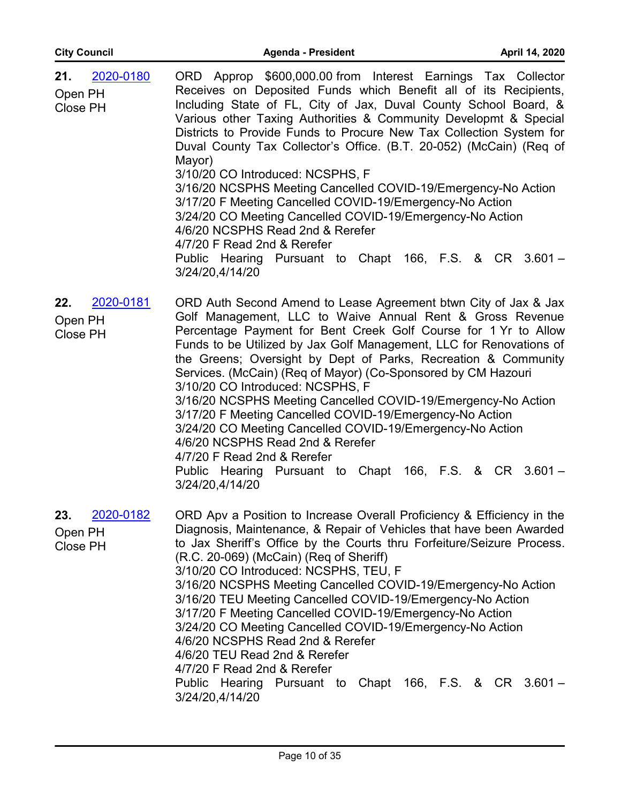| 2020-0180<br>21. | ORD Approp \$600,000.00 from Interest Earnings Tax Collector                                  |
|------------------|-----------------------------------------------------------------------------------------------|
| Open PH          | Receives on Deposited Funds which Benefit all of its Recipients,                              |
| Close PH         | Including State of FL, City of Jax, Duval County School Board, &                              |
|                  | Various other Taxing Authorities & Community Developmt & Special                              |
|                  | Districts to Provide Funds to Procure New Tax Collection System for                           |
|                  | Duval County Tax Collector's Office. (B.T. 20-052) (McCain) (Req of                           |
|                  | Mayor)                                                                                        |
|                  | 3/10/20 CO Introduced: NCSPHS, F                                                              |
|                  | 3/16/20 NCSPHS Meeting Cancelled COVID-19/Emergency-No Action                                 |
|                  | 3/17/20 F Meeting Cancelled COVID-19/Emergency-No Action                                      |
|                  | 3/24/20 CO Meeting Cancelled COVID-19/Emergency-No Action<br>4/6/20 NCSPHS Read 2nd & Rerefer |
|                  | 4/7/20 F Read 2nd & Rerefer                                                                   |
|                  | Public Hearing Pursuant to Chapt 166, F.S. & CR 3.601 -                                       |
|                  | 3/24/20,4/14/20                                                                               |
|                  |                                                                                               |
| 2020-0181<br>22. | ORD Auth Second Amend to Lease Agreement btwn City of Jax & Jax                               |
| Open PH          | Golf Management, LLC to Waive Annual Rent & Gross Revenue                                     |
| Close PH         | Percentage Payment for Bent Creek Golf Course for 1 Yr to Allow                               |
|                  | Funds to be Utilized by Jax Golf Management, LLC for Renovations of                           |
|                  | the Greens; Oversight by Dept of Parks, Recreation & Community                                |
|                  | Services. (McCain) (Req of Mayor) (Co-Sponsored by CM Hazouri                                 |
|                  | 3/10/20 CO Introduced: NCSPHS, F                                                              |

3/16/20 NCSPHS Meeting Cancelled COVID-19/Emergency-No Action 3/17/20 F Meeting Cancelled COVID-19/Emergency-No Action 3/24/20 CO Meeting Cancelled COVID-19/Emergency-No Action 4/6/20 NCSPHS Read 2nd & Rerefer 4/7/20 F Read 2nd & Rerefer Public Hearing Pursuant to Chapt 166, F.S. & CR 3.601 –

ORD Apv a Position to Increase Overall Proficiency & Efficiency in the Diagnosis, Maintenance, & Repair of Vehicles that have been Awarded to Jax Sheriff's Office by the Courts thru Forfeiture/Seizure Process. (R.C. 20-069) (McCain) (Req of Sheriff) 3/10/20 CO Introduced: NCSPHS, TEU, F 3/16/20 NCSPHS Meeting Cancelled COVID-19/Emergency-No Action 3/16/20 TEU Meeting Cancelled COVID-19/Emergency-No Action 3/17/20 F Meeting Cancelled COVID-19/Emergency-No Action 3/24/20 CO Meeting Cancelled COVID-19/Emergency-No Action 4/6/20 NCSPHS Read 2nd & Rerefer 4/6/20 TEU Read 2nd & Rerefer 4/7/20 F Read 2nd & Rerefer Public Hearing Pursuant to Chapt 166, F.S. & CR 3.601 – 3/24/20,4/14/20 **23.** [2020-0182](http://jaxcityc.legistar.com/gateway.aspx?m=l&id=/matter.aspx?key=2249) Open PH Close PH

3/24/20,4/14/20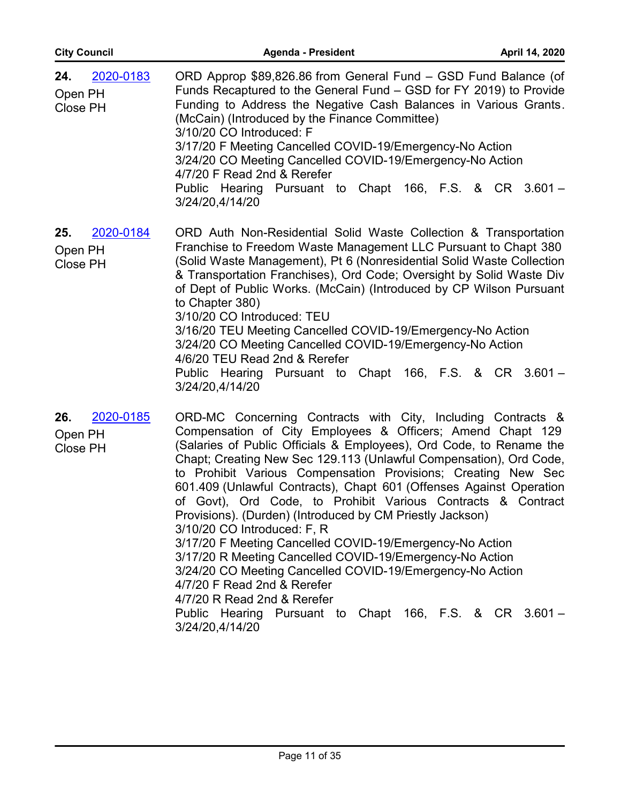| <b>City Council</b>                     | <b>Agenda - President</b>                                                                                                                                                                                                                                                                                                                                                                                                                                                                                                                                                                                                                                                                                                                                                                                                                                                                                    | April 14, 2020 |
|-----------------------------------------|--------------------------------------------------------------------------------------------------------------------------------------------------------------------------------------------------------------------------------------------------------------------------------------------------------------------------------------------------------------------------------------------------------------------------------------------------------------------------------------------------------------------------------------------------------------------------------------------------------------------------------------------------------------------------------------------------------------------------------------------------------------------------------------------------------------------------------------------------------------------------------------------------------------|----------------|
| 24.<br>2020-0183<br>Open PH<br>Close PH | ORD Approp \$89,826.86 from General Fund – GSD Fund Balance (of<br>Funds Recaptured to the General Fund - GSD for FY 2019) to Provide<br>Funding to Address the Negative Cash Balances in Various Grants.<br>(McCain) (Introduced by the Finance Committee)<br>3/10/20 CO Introduced: F<br>3/17/20 F Meeting Cancelled COVID-19/Emergency-No Action<br>3/24/20 CO Meeting Cancelled COVID-19/Emergency-No Action<br>4/7/20 F Read 2nd & Rerefer<br>Public Hearing Pursuant to Chapt 166, F.S. & CR 3.601 -<br>3/24/20,4/14/20                                                                                                                                                                                                                                                                                                                                                                                |                |
| 2020-0184<br>25.<br>Open PH<br>Close PH | ORD Auth Non-Residential Solid Waste Collection & Transportation<br>Franchise to Freedom Waste Management LLC Pursuant to Chapt 380<br>(Solid Waste Management), Pt 6 (Nonresidential Solid Waste Collection<br>& Transportation Franchises), Ord Code; Oversight by Solid Waste Div<br>of Dept of Public Works. (McCain) (Introduced by CP Wilson Pursuant<br>to Chapter 380)<br>3/10/20 CO Introduced: TEU<br>3/16/20 TEU Meeting Cancelled COVID-19/Emergency-No Action<br>3/24/20 CO Meeting Cancelled COVID-19/Emergency-No Action<br>4/6/20 TEU Read 2nd & Rerefer<br>Hearing Pursuant to Chapt 166, F.S. & CR 3.601 -<br>Public<br>3/24/20,4/14/20                                                                                                                                                                                                                                                    |                |
| 2020-0185<br>26.<br>Open PH<br>Close PH | ORD-MC Concerning Contracts with City, Including Contracts &<br>Compensation of City Employees & Officers; Amend Chapt 129<br>(Salaries of Public Officials & Employees), Ord Code, to Rename the<br>Chapt; Creating New Sec 129.113 (Unlawful Compensation), Ord Code,<br>to Prohibit Various Compensation Provisions; Creating New Sec<br>601.409 (Unlawful Contracts), Chapt 601 (Offenses Against Operation<br>of Govt), Ord Code, to Prohibit Various Contracts & Contract<br>Provisions). (Durden) (Introduced by CM Priestly Jackson)<br>3/10/20 CO Introduced: F, R<br>3/17/20 F Meeting Cancelled COVID-19/Emergency-No Action<br>3/17/20 R Meeting Cancelled COVID-19/Emergency-No Action<br>3/24/20 CO Meeting Cancelled COVID-19/Emergency-No Action<br>4/7/20 F Read 2nd & Rerefer<br>4/7/20 R Read 2nd & Rerefer<br>Public Hearing Pursuant to Chapt 166, F.S. & CR 3.601 -<br>3/24/20,4/14/20 |                |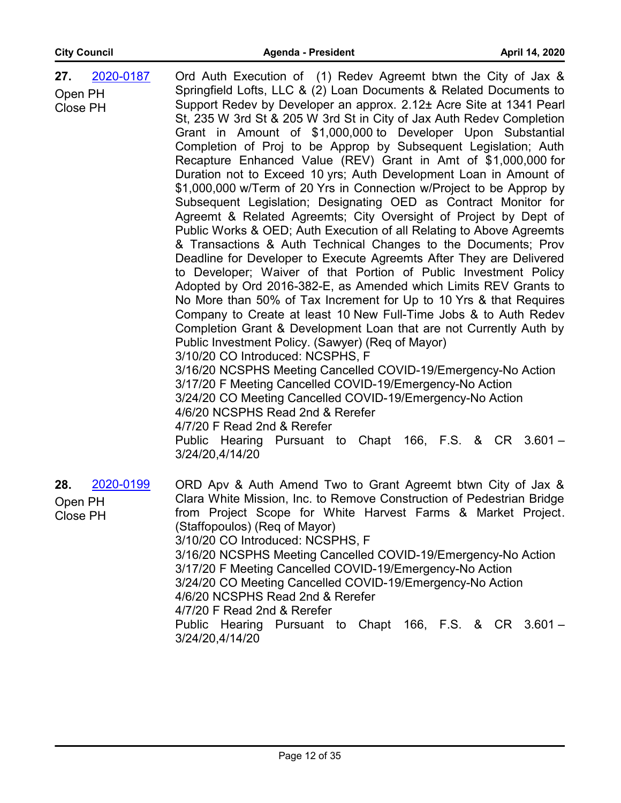| 2020-0187<br>27.<br>Open PH<br>Close PH | Ord Auth Execution of (1) Redev Agreemt btwn the City of Jax &<br>Springfield Lofts, LLC & (2) Loan Documents & Related Documents to<br>Support Redev by Developer an approx. 2.12± Acre Site at 1341 Pearl<br>St, 235 W 3rd St & 205 W 3rd St in City of Jax Auth Redev Completion<br>Grant in Amount of \$1,000,000 to Developer Upon Substantial<br>Completion of Proj to be Approp by Subsequent Legislation; Auth<br>Recapture Enhanced Value (REV) Grant in Amt of \$1,000,000 for<br>Duration not to Exceed 10 yrs; Auth Development Loan in Amount of<br>\$1,000,000 w/Term of 20 Yrs in Connection w/Project to be Approp by<br>Subsequent Legislation; Designating OED as Contract Monitor for<br>Agreemt & Related Agreemts; City Oversight of Project by Dept of<br>Public Works & OED; Auth Execution of all Relating to Above Agreemts<br>& Transactions & Auth Technical Changes to the Documents; Prov<br>Deadline for Developer to Execute Agreemts After They are Delivered<br>to Developer; Waiver of that Portion of Public Investment Policy<br>Adopted by Ord 2016-382-E, as Amended which Limits REV Grants to<br>No More than 50% of Tax Increment for Up to 10 Yrs & that Requires<br>Company to Create at least 10 New Full-Time Jobs & to Auth Redev<br>Completion Grant & Development Loan that are not Currently Auth by<br>Public Investment Policy. (Sawyer) (Req of Mayor)<br>3/10/20 CO Introduced: NCSPHS, F<br>3/16/20 NCSPHS Meeting Cancelled COVID-19/Emergency-No Action<br>3/17/20 F Meeting Cancelled COVID-19/Emergency-No Action<br>3/24/20 CO Meeting Cancelled COVID-19/Emergency-No Action<br>4/6/20 NCSPHS Read 2nd & Rerefer<br>4/7/20 F Read 2nd & Rerefer<br>Public Hearing Pursuant to Chapt 166, F.S. & CR 3.601 - |
|-----------------------------------------|------------------------------------------------------------------------------------------------------------------------------------------------------------------------------------------------------------------------------------------------------------------------------------------------------------------------------------------------------------------------------------------------------------------------------------------------------------------------------------------------------------------------------------------------------------------------------------------------------------------------------------------------------------------------------------------------------------------------------------------------------------------------------------------------------------------------------------------------------------------------------------------------------------------------------------------------------------------------------------------------------------------------------------------------------------------------------------------------------------------------------------------------------------------------------------------------------------------------------------------------------------------------------------------------------------------------------------------------------------------------------------------------------------------------------------------------------------------------------------------------------------------------------------------------------------------------------------------------------------------------------------------------------------------------------------------------------------------------------------------------------------------------|
|                                         | 3/24/20,4/14/20                                                                                                                                                                                                                                                                                                                                                                                                                                                                                                                                                                                                                                                                                                                                                                                                                                                                                                                                                                                                                                                                                                                                                                                                                                                                                                                                                                                                                                                                                                                                                                                                                                                                                                                                                        |
| 2020-0199<br>28.<br>Open PH<br>Close PH | ORD Apv & Auth Amend Two to Grant Agreemt btwn City of Jax &<br>Clara White Mission, Inc. to Remove Construction of Pedestrian Bridge<br>from Project Scope for White Harvest Farms & Market Project.<br>(Staffopoulos) (Req of Mayor)<br>3/10/20 CO Introduced: NCSPHS, F<br>3/16/20 NCSPHS Meeting Cancelled COVID-19/Emergency-No Action<br>3/17/20 F Meeting Cancelled COVID-19/Emergency-No Action<br>3/24/20 CO Meeting Cancelled COVID-19/Emergency-No Action<br>4/6/20 NCSPHS Read 2nd & Rerefer<br>4/7/20 F Read 2nd & Rerefer                                                                                                                                                                                                                                                                                                                                                                                                                                                                                                                                                                                                                                                                                                                                                                                                                                                                                                                                                                                                                                                                                                                                                                                                                                |
|                                         | Public Hearing Pursuant to Chapt 166, F.S. & CR 3.601 -<br>3/24/20,4/14/20                                                                                                                                                                                                                                                                                                                                                                                                                                                                                                                                                                                                                                                                                                                                                                                                                                                                                                                                                                                                                                                                                                                                                                                                                                                                                                                                                                                                                                                                                                                                                                                                                                                                                             |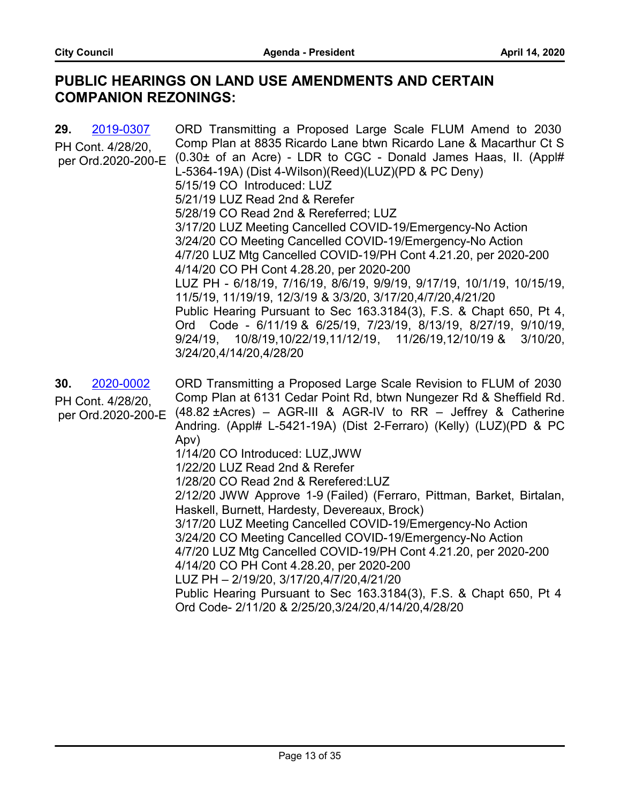# **PUBLIC HEARINGS ON LAND USE AMENDMENTS AND CERTAIN COMPANION REZONINGS:**

| 29.<br>2019-0307<br>PH Cont. 4/28/20,<br>per Ord.2020-200-E | ORD Transmitting a Proposed Large Scale FLUM Amend to 2030<br>Comp Plan at 8835 Ricardo Lane btwn Ricardo Lane & Macarthur Ct S<br>(0.30± of an Acre) - LDR to CGC - Donald James Haas, II. (Appl#<br>L-5364-19A) (Dist 4-Wilson)(Reed)(LUZ)(PD & PC Deny)<br>5/15/19 CO Introduced: LUZ<br>5/21/19 LUZ Read 2nd & Rerefer<br>5/28/19 CO Read 2nd & Rereferred; LUZ<br>3/17/20 LUZ Meeting Cancelled COVID-19/Emergency-No Action<br>3/24/20 CO Meeting Cancelled COVID-19/Emergency-No Action<br>4/7/20 LUZ Mtg Cancelled COVID-19/PH Cont 4.21.20, per 2020-200<br>4/14/20 CO PH Cont 4.28.20, per 2020-200<br>LUZ PH - 6/18/19, 7/16/19, 8/6/19, 9/9/19, 9/17/19, 10/1/19, 10/15/19,<br>11/5/19, 11/19/19, 12/3/19 & 3/3/20, 3/17/20,4/7/20,4/21/20<br>Public Hearing Pursuant to Sec 163.3184(3), F.S. & Chapt 650, Pt 4,<br>Ord Code - 6/11/19 & 6/25/19, 7/23/19, 8/13/19, 8/27/19, 9/10/19,<br>9/24/19, 10/8/19,10/22/19,11/12/19, 11/26/19,12/10/19 & 3/10/20,<br>3/24/20,4/14/20,4/28/20 |
|-------------------------------------------------------------|---------------------------------------------------------------------------------------------------------------------------------------------------------------------------------------------------------------------------------------------------------------------------------------------------------------------------------------------------------------------------------------------------------------------------------------------------------------------------------------------------------------------------------------------------------------------------------------------------------------------------------------------------------------------------------------------------------------------------------------------------------------------------------------------------------------------------------------------------------------------------------------------------------------------------------------------------------------------------------------------------|
| 30.<br>2020-0002<br>PH Cont. 4/28/20,<br>per Ord.2020-200-E | ORD Transmitting a Proposed Large Scale Revision to FLUM of 2030<br>Comp Plan at 6131 Cedar Point Rd, btwn Nungezer Rd & Sheffield Rd.<br>$(48.82 \pm A$ cres) – AGR-III & AGR-IV to RR – Jeffrey & Catherine<br>Andring. (Appl# L-5421-19A) (Dist 2-Ferraro) (Kelly) (LUZ)(PD & PC<br>Apv)<br>1/14/20 CO Introduced: LUZ, JWW<br>1/22/20 LUZ Read 2nd & Rerefer<br>1/28/20 CO Read 2nd & Rerefered: LUZ<br>2/12/20 JWW Approve 1-9 (Failed) (Ferraro, Pittman, Barket, Birtalan,<br>Haskell, Burnett, Hardesty, Devereaux, Brock)<br>3/17/20 LUZ Meeting Cancelled COVID-19/Emergency-No Action<br>3/24/20 CO Meeting Cancelled COVID-19/Emergency-No Action<br>4/7/20 LUZ Mtg Cancelled COVID-19/PH Cont 4.21.20, per 2020-200<br>4/14/20 CO PH Cont 4.28.20, per 2020-200<br>LUZ PH - 2/19/20, 3/17/20,4/7/20,4/21/20<br>Public Hearing Pursuant to Sec 163.3184(3), F.S. & Chapt 650, Pt 4<br>Ord Code- 2/11/20 & 2/25/20,3/24/20,4/14/20,4/28/20                                             |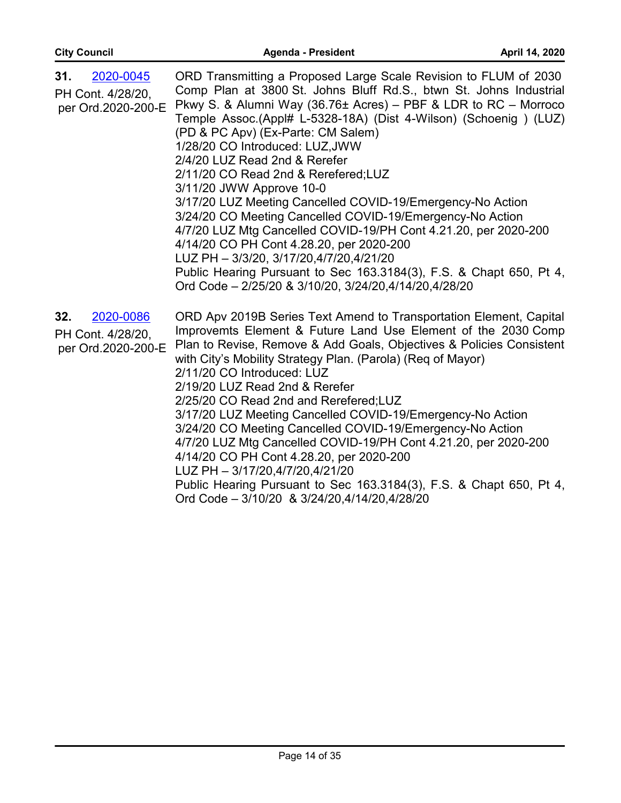| 2020-0045<br>31.<br>PH Cont. 4/28/20,<br>per Ord.2020-200-E | ORD Transmitting a Proposed Large Scale Revision to FLUM of 2030<br>Comp Plan at 3800 St. Johns Bluff Rd.S., btwn St. Johns Industrial<br>Pkwy S. & Alumni Way (36.76 $\pm$ Acres) – PBF & LDR to RC – Morroco<br>Temple Assoc.(Appl# L-5328-18A) (Dist 4-Wilson) (Schoenig) (LUZ)<br>(PD & PC Apv) (Ex-Parte: CM Salem)<br>1/28/20 CO Introduced: LUZ, JWW<br>2/4/20 LUZ Read 2nd & Rerefer<br>2/11/20 CO Read 2nd & Rerefered;LUZ<br>3/11/20 JWW Approve 10-0<br>3/17/20 LUZ Meeting Cancelled COVID-19/Emergency-No Action<br>3/24/20 CO Meeting Cancelled COVID-19/Emergency-No Action<br>4/7/20 LUZ Mtg Cancelled COVID-19/PH Cont 4.21.20, per 2020-200<br>4/14/20 CO PH Cont 4.28.20, per 2020-200<br>LUZ PH - 3/3/20, 3/17/20,4/7/20,4/21/20<br>Public Hearing Pursuant to Sec 163.3184(3), F.S. & Chapt 650, Pt 4,<br>Ord Code - 2/25/20 & 3/10/20, 3/24/20,4/14/20,4/28/20 |
|-------------------------------------------------------------|--------------------------------------------------------------------------------------------------------------------------------------------------------------------------------------------------------------------------------------------------------------------------------------------------------------------------------------------------------------------------------------------------------------------------------------------------------------------------------------------------------------------------------------------------------------------------------------------------------------------------------------------------------------------------------------------------------------------------------------------------------------------------------------------------------------------------------------------------------------------------------------|
| 32.<br>2020-0086<br>PH Cont. 4/28/20,<br>per Ord.2020-200-E | ORD Apv 2019B Series Text Amend to Transportation Element, Capital<br>Improvemts Element & Future Land Use Element of the 2030 Comp<br>Plan to Revise, Remove & Add Goals, Objectives & Policies Consistent<br>with City's Mobility Strategy Plan. (Parola) (Reg of Mayor)<br>2/11/20 CO Introduced: LUZ<br>2/19/20 LUZ Read 2nd & Rerefer<br>2/25/20 CO Read 2nd and Rerefered; LUZ<br>3/17/20 LUZ Meeting Cancelled COVID-19/Emergency-No Action<br>3/24/20 CO Meeting Cancelled COVID-19/Emergency-No Action<br>4/7/20 LUZ Mtg Cancelled COVID-19/PH Cont 4.21.20, per 2020-200<br>4/14/20 CO PH Cont 4.28.20, per 2020-200<br>LUZ PH - 3/17/20,4/7/20,4/21/20<br>Public Hearing Pursuant to Sec 163.3184(3), F.S. & Chapt 650, Pt 4,<br>Ord Code - 3/10/20 & 3/24/20,4/14/20,4/28/20                                                                                             |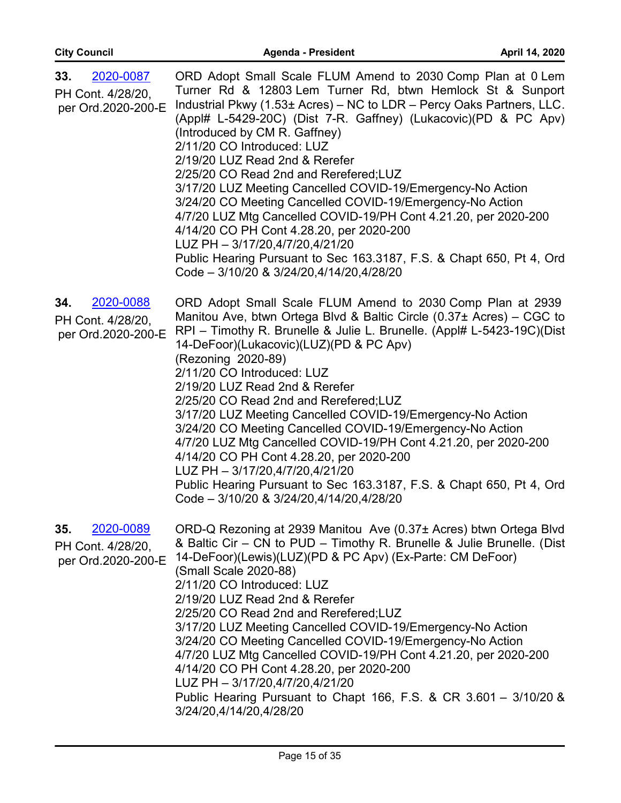| 2020-0087<br>33.<br>PH Cont. 4/28/20,<br>per Ord.2020-200-E | ORD Adopt Small Scale FLUM Amend to 2030 Comp Plan at 0 Lem<br>Turner Rd & 12803 Lem Turner Rd, btwn Hemlock St & Sunport<br>Industrial Pkwy (1.53± Acres) - NC to LDR - Percy Oaks Partners, LLC.<br>(Appl# L-5429-20C) (Dist 7-R. Gaffney) (Lukacovic) (PD & PC Apv)<br>(Introduced by CM R. Gaffney)<br>2/11/20 CO Introduced: LUZ<br>2/19/20 LUZ Read 2nd & Rerefer<br>2/25/20 CO Read 2nd and Rerefered;LUZ<br>3/17/20 LUZ Meeting Cancelled COVID-19/Emergency-No Action<br>3/24/20 CO Meeting Cancelled COVID-19/Emergency-No Action<br>4/7/20 LUZ Mtg Cancelled COVID-19/PH Cont 4.21.20, per 2020-200<br>4/14/20 CO PH Cont 4.28.20, per 2020-200<br>LUZ PH - 3/17/20,4/7/20,4/21/20<br>Public Hearing Pursuant to Sec 163.3187, F.S. & Chapt 650, Pt 4, Ord<br>Code - 3/10/20 & 3/24/20,4/14/20,4/28/20 |
|-------------------------------------------------------------|-------------------------------------------------------------------------------------------------------------------------------------------------------------------------------------------------------------------------------------------------------------------------------------------------------------------------------------------------------------------------------------------------------------------------------------------------------------------------------------------------------------------------------------------------------------------------------------------------------------------------------------------------------------------------------------------------------------------------------------------------------------------------------------------------------------------|
| 2020-0088<br>34.<br>PH Cont. 4/28/20,<br>per Ord.2020-200-E | ORD Adopt Small Scale FLUM Amend to 2030 Comp Plan at 2939<br>Manitou Ave, btwn Ortega Blvd & Baltic Circle (0.37± Acres) – CGC to<br>RPI - Timothy R. Brunelle & Julie L. Brunelle. (Appl# L-5423-19C)(Dist<br>14-DeFoor)(Lukacovic)(LUZ)(PD & PC Apv)<br>(Rezoning 2020-89)<br>2/11/20 CO Introduced: LUZ<br>2/19/20 LUZ Read 2nd & Rerefer<br>2/25/20 CO Read 2nd and Rerefered; LUZ<br>3/17/20 LUZ Meeting Cancelled COVID-19/Emergency-No Action<br>3/24/20 CO Meeting Cancelled COVID-19/Emergency-No Action<br>4/7/20 LUZ Mtg Cancelled COVID-19/PH Cont 4.21.20, per 2020-200<br>4/14/20 CO PH Cont 4.28.20, per 2020-200<br>LUZ PH - 3/17/20,4/7/20,4/21/20<br>Public Hearing Pursuant to Sec 163.3187, F.S. & Chapt 650, Pt 4, Ord<br>Code - 3/10/20 & 3/24/20,4/14/20,4/28/20                          |
| 2020-0089<br>35.<br>PH Cont. 4/28/20,<br>per Ord.2020-200-E | ORD-Q Rezoning at 2939 Manitou Ave (0.37± Acres) btwn Ortega Blvd<br>& Baltic Cir - CN to PUD - Timothy R. Brunelle & Julie Brunelle. (Dist<br>14-DeFoor)(Lewis)(LUZ)(PD & PC Apv) (Ex-Parte: CM DeFoor)<br>(Small Scale 2020-88)<br>2/11/20 CO Introduced: LUZ<br>2/19/20 LUZ Read 2nd & Rerefer<br>2/25/20 CO Read 2nd and Rerefered; LUZ<br>3/17/20 LUZ Meeting Cancelled COVID-19/Emergency-No Action<br>3/24/20 CO Meeting Cancelled COVID-19/Emergency-No Action<br>4/7/20 LUZ Mtg Cancelled COVID-19/PH Cont 4.21.20, per 2020-200<br>4/14/20 CO PH Cont 4.28.20, per 2020-200<br>LUZ PH - 3/17/20,4/7/20,4/21/20<br>Public Hearing Pursuant to Chapt 166, F.S. & CR 3.601 - 3/10/20 &<br>3/24/20,4/14/20,4/28/20                                                                                          |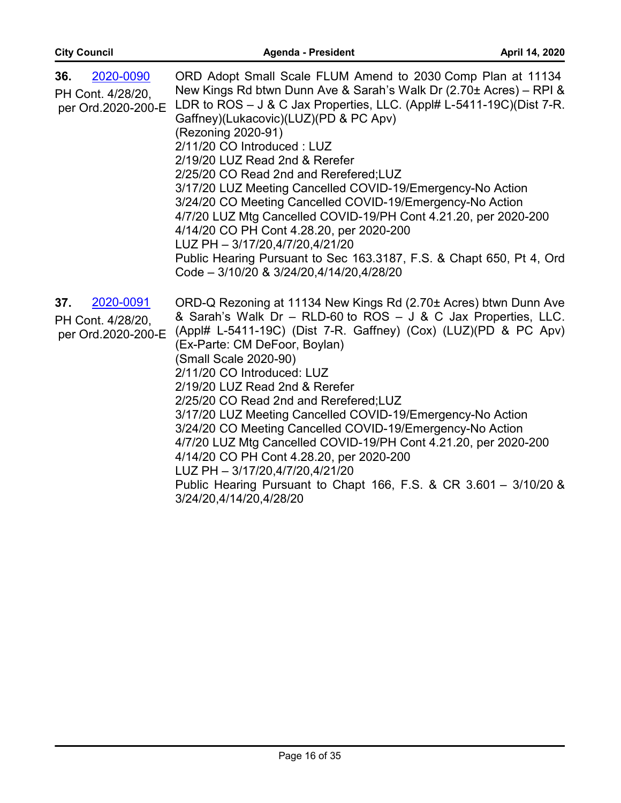| 36.<br>2020-0090<br>PH Cont. 4/28/20,<br>per Ord.2020-200-E | ORD Adopt Small Scale FLUM Amend to 2030 Comp Plan at 11134<br>New Kings Rd btwn Dunn Ave & Sarah's Walk Dr (2.70± Acres) - RPI &<br>LDR to ROS - J & C Jax Properties, LLC. (Appl# L-5411-19C)(Dist 7-R.<br>Gaffney)(Lukacovic)(LUZ)(PD & PC Apv)<br>(Rezoning 2020-91)<br>2/11/20 CO Introduced: LUZ<br>2/19/20 LUZ Read 2nd & Rerefer<br>2/25/20 CO Read 2nd and Rerefered;LUZ<br>3/17/20 LUZ Meeting Cancelled COVID-19/Emergency-No Action<br>3/24/20 CO Meeting Cancelled COVID-19/Emergency-No Action<br>4/7/20 LUZ Mtg Cancelled COVID-19/PH Cont 4.21.20, per 2020-200<br>4/14/20 CO PH Cont 4.28.20, per 2020-200<br>LUZ PH - 3/17/20,4/7/20,4/21/20<br>Public Hearing Pursuant to Sec 163.3187, F.S. & Chapt 650, Pt 4, Ord<br>Code - 3/10/20 & 3/24/20,4/14/20,4/28/20 |
|-------------------------------------------------------------|------------------------------------------------------------------------------------------------------------------------------------------------------------------------------------------------------------------------------------------------------------------------------------------------------------------------------------------------------------------------------------------------------------------------------------------------------------------------------------------------------------------------------------------------------------------------------------------------------------------------------------------------------------------------------------------------------------------------------------------------------------------------------------|
| 37.<br>2020-0091<br>PH Cont. 4/28/20,<br>per Ord.2020-200-E | ORD-Q Rezoning at 11134 New Kings Rd (2.70± Acres) btwn Dunn Ave<br>& Sarah's Walk Dr - RLD-60 to ROS - J & C Jax Properties, LLC.<br>(Appl# L-5411-19C) (Dist 7-R. Gaffney) (Cox) (LUZ)(PD & PC Apv)<br>(Ex-Parte: CM DeFoor, Boylan)<br>(Small Scale 2020-90)<br>2/11/20 CO Introduced: LUZ<br>2/19/20 LUZ Read 2nd & Rerefer<br>2/25/20 CO Read 2nd and Rerefered;LUZ<br>3/17/20 LUZ Meeting Cancelled COVID-19/Emergency-No Action<br>3/24/20 CO Meeting Cancelled COVID-19/Emergency-No Action<br>4/7/20 LUZ Mtg Cancelled COVID-19/PH Cont 4.21.20, per 2020-200<br>4/14/20 CO PH Cont 4.28.20, per 2020-200<br>LUZ PH - 3/17/20,4/7/20,4/21/20<br>Public Hearing Pursuant to Chapt 166, F.S. & CR 3.601 - 3/10/20 &<br>3/24/20,4/14/20,4/28/20                              |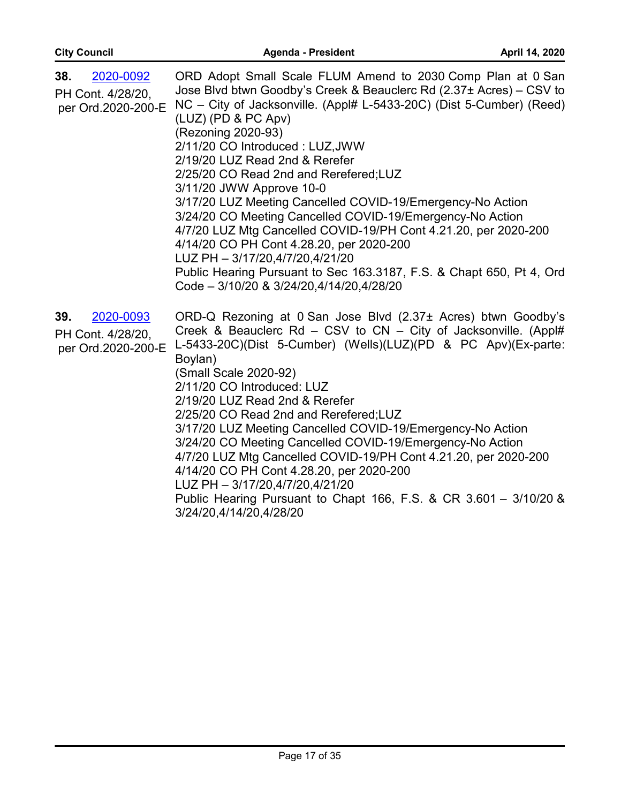| 2020-0092<br>38.<br>PH Cont. 4/28/20,<br>per Ord.2020-200-E | ORD Adopt Small Scale FLUM Amend to 2030 Comp Plan at 0 San<br>Jose Blvd btwn Goodby's Creek & Beauclerc Rd (2.37± Acres) – CSV to<br>NC – City of Jacksonville. (Appl# L-5433-20C) (Dist 5-Cumber) (Reed)<br>(LUZ) (PD & PC Apv)<br>(Rezoning 2020-93)<br>2/11/20 CO Introduced: LUZ, JWW<br>2/19/20 LUZ Read 2nd & Rerefer<br>2/25/20 CO Read 2nd and Rerefered; LUZ<br>3/11/20 JWW Approve 10-0<br>3/17/20 LUZ Meeting Cancelled COVID-19/Emergency-No Action<br>3/24/20 CO Meeting Cancelled COVID-19/Emergency-No Action<br>4/7/20 LUZ Mtg Cancelled COVID-19/PH Cont 4.21.20, per 2020-200<br>4/14/20 CO PH Cont 4.28.20, per 2020-200<br>LUZ PH - 3/17/20,4/7/20,4/21/20<br>Public Hearing Pursuant to Sec 163.3187, F.S. & Chapt 650, Pt 4, Ord<br>Code - 3/10/20 & 3/24/20,4/14/20,4/28/20 |
|-------------------------------------------------------------|-----------------------------------------------------------------------------------------------------------------------------------------------------------------------------------------------------------------------------------------------------------------------------------------------------------------------------------------------------------------------------------------------------------------------------------------------------------------------------------------------------------------------------------------------------------------------------------------------------------------------------------------------------------------------------------------------------------------------------------------------------------------------------------------------------|
| 39.<br>2020-0093<br>PH Cont. 4/28/20,<br>per Ord.2020-200-E | ORD-Q Rezoning at 0 San Jose Blvd (2.37± Acres) btwn Goodby's<br>Creek & Beauclerc Rd - CSV to CN - City of Jacksonville. (Appl#<br>L-5433-20C)(Dist 5-Cumber) (Wells)(LUZ)(PD & PC Apv)(Ex-parte:<br>Boylan)<br>(Small Scale 2020-92)<br>2/11/20 CO Introduced: LUZ<br>2/19/20 LUZ Read 2nd & Rerefer<br>2/25/20 CO Read 2nd and Rerefered; LUZ<br>3/17/20 LUZ Meeting Cancelled COVID-19/Emergency-No Action<br>3/24/20 CO Meeting Cancelled COVID-19/Emergency-No Action<br>4/7/20 LUZ Mtg Cancelled COVID-19/PH Cont 4.21.20, per 2020-200<br>4/14/20 CO PH Cont 4.28.20, per 2020-200<br>LUZ PH - 3/17/20,4/7/20,4/21/20<br>Public Hearing Pursuant to Chapt 166, F.S. & CR 3.601 - 3/10/20 &<br>3/24/20,4/14/20,4/28/20                                                                       |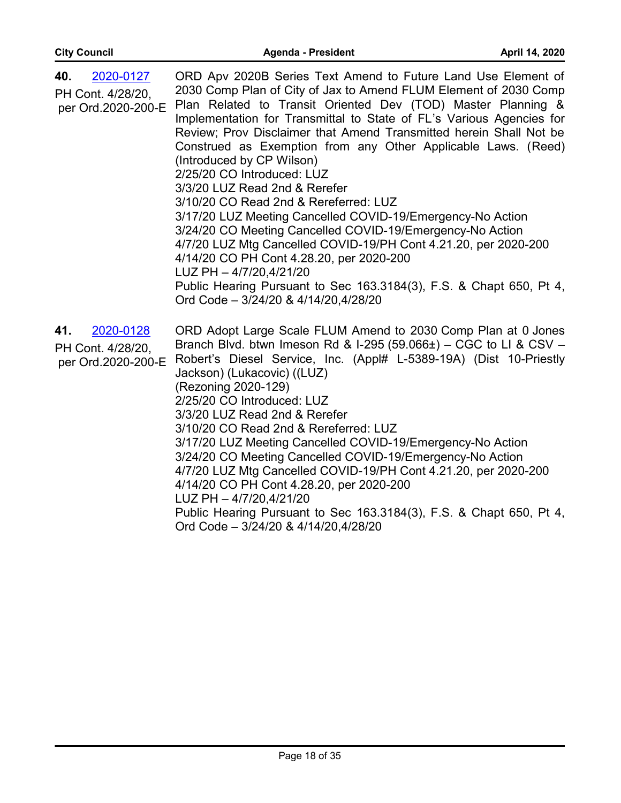| 40.<br>2020-0127<br>PH Cont. 4/28/20,<br>per Ord.2020-200-E | ORD Apv 2020B Series Text Amend to Future Land Use Element of<br>2030 Comp Plan of City of Jax to Amend FLUM Element of 2030 Comp<br>Plan Related to Transit Oriented Dev (TOD) Master Planning &<br>Implementation for Transmittal to State of FL's Various Agencies for<br>Review; Prov Disclaimer that Amend Transmitted herein Shall Not be<br>Construed as Exemption from any Other Applicable Laws. (Reed)<br>(Introduced by CP Wilson)<br>2/25/20 CO Introduced: LUZ<br>3/3/20 LUZ Read 2nd & Rerefer<br>3/10/20 CO Read 2nd & Rereferred: LUZ<br>3/17/20 LUZ Meeting Cancelled COVID-19/Emergency-No Action<br>3/24/20 CO Meeting Cancelled COVID-19/Emergency-No Action<br>4/7/20 LUZ Mtg Cancelled COVID-19/PH Cont 4.21.20, per 2020-200<br>4/14/20 CO PH Cont 4.28.20, per 2020-200<br>LUZ PH - 4/7/20,4/21/20<br>Public Hearing Pursuant to Sec 163.3184(3), F.S. & Chapt 650, Pt 4,<br>Ord Code - 3/24/20 & 4/14/20,4/28/20 |
|-------------------------------------------------------------|-------------------------------------------------------------------------------------------------------------------------------------------------------------------------------------------------------------------------------------------------------------------------------------------------------------------------------------------------------------------------------------------------------------------------------------------------------------------------------------------------------------------------------------------------------------------------------------------------------------------------------------------------------------------------------------------------------------------------------------------------------------------------------------------------------------------------------------------------------------------------------------------------------------------------------------------|
| 2020-0128<br>41.<br>PH Cont. 4/28/20,<br>per Ord.2020-200-E | ORD Adopt Large Scale FLUM Amend to 2030 Comp Plan at 0 Jones<br>Branch Blvd. btwn Imeson Rd & I-295 (59.066±) - CGC to LI & CSV -<br>Robert's Diesel Service, Inc. (Appl# L-5389-19A) (Dist 10-Priestly<br>Jackson) (Lukacovic) ((LUZ)<br>(Rezoning 2020-129)<br>2/25/20 CO Introduced: LUZ<br>3/3/20 LUZ Read 2nd & Rerefer<br>3/10/20 CO Read 2nd & Rereferred: LUZ<br>3/17/20 LUZ Meeting Cancelled COVID-19/Emergency-No Action<br>3/24/20 CO Meeting Cancelled COVID-19/Emergency-No Action<br>4/7/20 LUZ Mtg Cancelled COVID-19/PH Cont 4.21.20, per 2020-200<br>4/14/20 CO PH Cont 4.28.20, per 2020-200<br>LUZ PH - 4/7/20,4/21/20<br>Public Hearing Pursuant to Sec 163.3184(3), F.S. & Chapt 650, Pt 4,<br>Ord Code - 3/24/20 & 4/14/20,4/28/20                                                                                                                                                                                |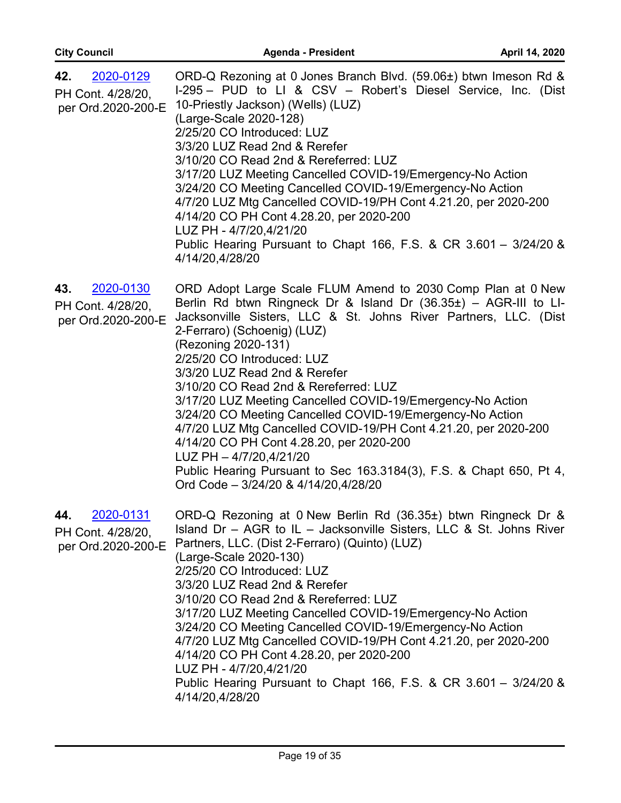| 42.<br>2020-0129<br>PH Cont. 4/28/20,<br>per Ord.2020-200-E | ORD-Q Rezoning at 0 Jones Branch Blvd. (59.06±) btwn Imeson Rd &<br>I-295 – PUD to LI & CSV – Robert's Diesel Service, Inc. (Dist<br>10-Priestly Jackson) (Wells) (LUZ)<br>(Large-Scale 2020-128)<br>2/25/20 CO Introduced: LUZ<br>3/3/20 LUZ Read 2nd & Rerefer<br>3/10/20 CO Read 2nd & Rereferred: LUZ<br>3/17/20 LUZ Meeting Cancelled COVID-19/Emergency-No Action<br>3/24/20 CO Meeting Cancelled COVID-19/Emergency-No Action<br>4/7/20 LUZ Mtg Cancelled COVID-19/PH Cont 4.21.20, per 2020-200<br>4/14/20 CO PH Cont 4.28.20, per 2020-200<br>LUZ PH - 4/7/20,4/21/20<br>Public Hearing Pursuant to Chapt 166, F.S. & CR 3.601 - 3/24/20 &<br>4/14/20,4/28/20                                                                                    |
|-------------------------------------------------------------|-----------------------------------------------------------------------------------------------------------------------------------------------------------------------------------------------------------------------------------------------------------------------------------------------------------------------------------------------------------------------------------------------------------------------------------------------------------------------------------------------------------------------------------------------------------------------------------------------------------------------------------------------------------------------------------------------------------------------------------------------------------|
| 2020-0130<br>43.<br>PH Cont. 4/28/20,<br>per Ord.2020-200-E | ORD Adopt Large Scale FLUM Amend to 2030 Comp Plan at 0 New<br>Berlin Rd btwn Ringneck Dr & Island Dr $(36.35\pm)$ – AGR-III to LI-<br>Jacksonville Sisters, LLC & St. Johns River Partners, LLC. (Dist<br>2-Ferraro) (Schoenig) (LUZ)<br>(Rezoning 2020-131)<br>2/25/20 CO Introduced: LUZ<br>3/3/20 LUZ Read 2nd & Rerefer<br>3/10/20 CO Read 2nd & Rereferred: LUZ<br>3/17/20 LUZ Meeting Cancelled COVID-19/Emergency-No Action<br>3/24/20 CO Meeting Cancelled COVID-19/Emergency-No Action<br>4/7/20 LUZ Mtg Cancelled COVID-19/PH Cont 4.21.20, per 2020-200<br>4/14/20 CO PH Cont 4.28.20, per 2020-200<br>LUZ PH - 4/7/20,4/21/20<br>Public Hearing Pursuant to Sec 163.3184(3), F.S. & Chapt 650, Pt 4,<br>Ord Code - 3/24/20 & 4/14/20,4/28/20 |
| 2020-0131<br>44.<br>PH Cont. 4/28/20,<br>per Ord.2020-200-E | ORD-Q Rezoning at 0 New Berlin Rd (36.35±) btwn Ringneck Dr &<br>Island Dr $-$ AGR to IL $-$ Jacksonville Sisters, LLC & St. Johns River<br>Partners, LLC. (Dist 2-Ferraro) (Quinto) (LUZ)<br>(Large-Scale 2020-130)<br>2/25/20 CO Introduced: LUZ<br>3/3/20 LUZ Read 2nd & Rerefer<br>3/10/20 CO Read 2nd & Rereferred: LUZ<br>3/17/20 LUZ Meeting Cancelled COVID-19/Emergency-No Action<br>3/24/20 CO Meeting Cancelled COVID-19/Emergency-No Action<br>4/7/20 LUZ Mtg Cancelled COVID-19/PH Cont 4.21.20, per 2020-200<br>4/14/20 CO PH Cont 4.28.20, per 2020-200<br>LUZ PH - 4/7/20,4/21/20<br>Public Hearing Pursuant to Chapt 166, F.S. & CR 3.601 - 3/24/20 &<br>4/14/20,4/28/20                                                                 |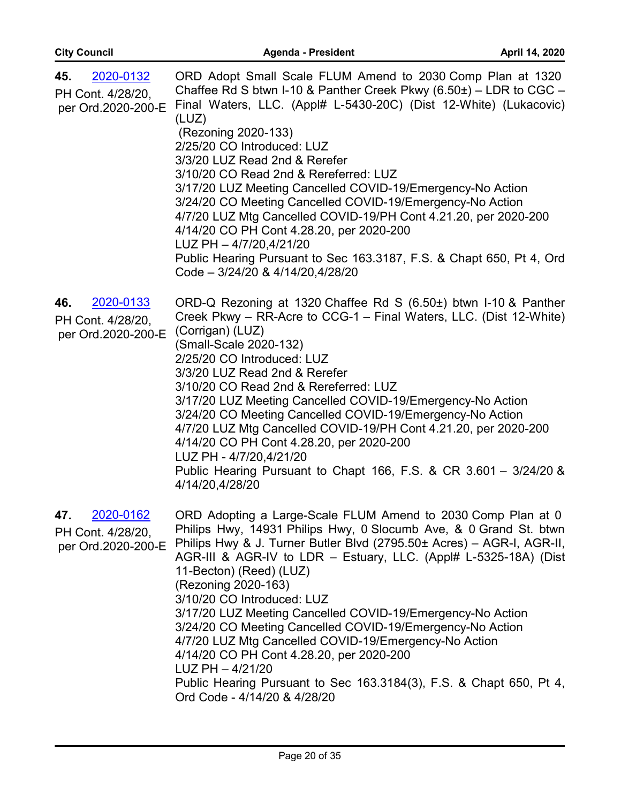| 45.<br>2020-0132                                            | ORD Adopt Small Scale FLUM Amend to 2030 Comp Plan at 1320                                                                                                                                                                                                                                                                                                     |
|-------------------------------------------------------------|----------------------------------------------------------------------------------------------------------------------------------------------------------------------------------------------------------------------------------------------------------------------------------------------------------------------------------------------------------------|
| PH Cont. 4/28/20,<br>per Ord.2020-200-E                     | Chaffee Rd S btwn I-10 & Panther Creek Pkwy $(6.50\pm)$ – LDR to CGC –<br>Final Waters, LLC. (Appl# L-5430-20C) (Dist 12-White) (Lukacovic)<br>(LUZ)                                                                                                                                                                                                           |
|                                                             | (Rezoning 2020-133)                                                                                                                                                                                                                                                                                                                                            |
|                                                             | 2/25/20 CO Introduced: LUZ<br>3/3/20 LUZ Read 2nd & Rerefer                                                                                                                                                                                                                                                                                                    |
|                                                             | 3/10/20 CO Read 2nd & Rereferred: LUZ                                                                                                                                                                                                                                                                                                                          |
|                                                             | 3/17/20 LUZ Meeting Cancelled COVID-19/Emergency-No Action<br>3/24/20 CO Meeting Cancelled COVID-19/Emergency-No Action<br>4/7/20 LUZ Mtg Cancelled COVID-19/PH Cont 4.21.20, per 2020-200<br>4/14/20 CO PH Cont 4.28.20, per 2020-200<br>LUZ PH - 4/7/20,4/21/20                                                                                              |
|                                                             | Public Hearing Pursuant to Sec 163.3187, F.S. & Chapt 650, Pt 4, Ord<br>Code - 3/24/20 & 4/14/20,4/28/20                                                                                                                                                                                                                                                       |
| 2020-0133<br>46.<br>PH Cont. 4/28/20,<br>per Ord.2020-200-E | ORD-Q Rezoning at 1320 Chaffee Rd S (6.50±) btwn I-10 & Panther<br>Creek Pkwy – RR-Acre to CCG-1 – Final Waters, LLC. (Dist 12-White)<br>(Corrigan) (LUZ)<br>(Small-Scale 2020-132)<br>2/25/20 CO Introduced: LUZ<br>3/3/20 LUZ Read 2nd & Rerefer<br>3/10/20 CO Read 2nd & Rereferred: LUZ                                                                    |
|                                                             | 3/17/20 LUZ Meeting Cancelled COVID-19/Emergency-No Action<br>3/24/20 CO Meeting Cancelled COVID-19/Emergency-No Action<br>4/7/20 LUZ Mtg Cancelled COVID-19/PH Cont 4.21.20, per 2020-200<br>4/14/20 CO PH Cont 4.28.20, per 2020-200<br>LUZ PH - 4/7/20,4/21/20                                                                                              |
|                                                             | Public Hearing Pursuant to Chapt 166, F.S. & CR 3.601 - 3/24/20 &<br>4/14/20,4/28/20                                                                                                                                                                                                                                                                           |
| 47.<br>2020-0162<br>PH Cont. 4/28/20,<br>per Ord.2020-200-E | ORD Adopting a Large-Scale FLUM Amend to 2030 Comp Plan at 0<br>Philips Hwy, 14931 Philips Hwy, 0 Slocumb Ave, & 0 Grand St. btwn<br>Philips Hwy & J. Turner Butler Blvd (2795.50± Acres) - AGR-I, AGR-II,<br>AGR-III & AGR-IV to LDR - Estuary, LLC. (Appl# L-5325-18A) (Dist<br>11-Becton) (Reed) (LUZ)<br>(Rezoning 2020-163)<br>3/10/20 CO Introduced: LUZ |
|                                                             | 3/17/20 LUZ Meeting Cancelled COVID-19/Emergency-No Action<br>3/24/20 CO Meeting Cancelled COVID-19/Emergency-No Action<br>4/7/20 LUZ Mtg Cancelled COVID-19/Emergency-No Action<br>4/14/20 CO PH Cont 4.28.20, per 2020-200<br>$LUZ$ PH $-4/21/20$                                                                                                            |
|                                                             | Public Hearing Pursuant to Sec 163.3184(3), F.S. & Chapt 650, Pt 4,<br>Ord Code - 4/14/20 & 4/28/20                                                                                                                                                                                                                                                            |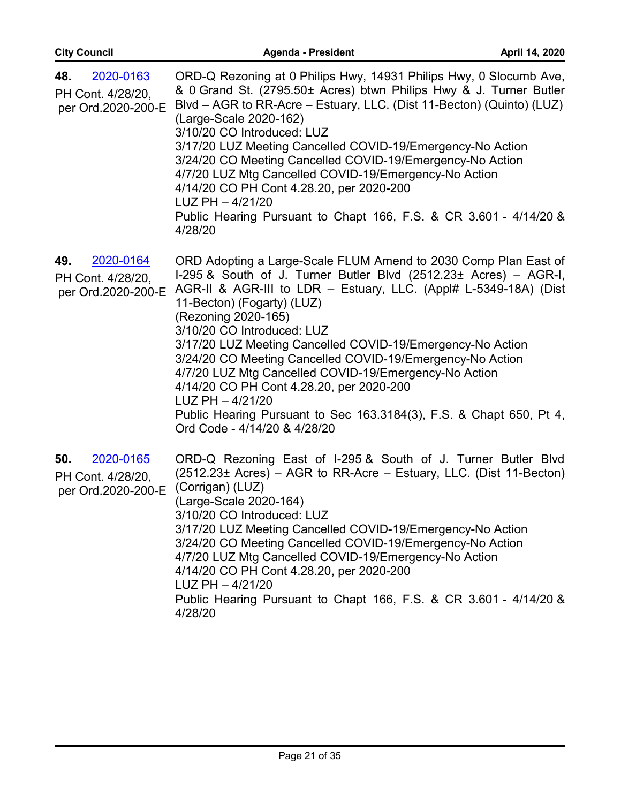| 48.<br>2020-0163<br>PH Cont. 4/28/20,<br>per Ord.2020-200-E | ORD-Q Rezoning at 0 Philips Hwy, 14931 Philips Hwy, 0 Slocumb Ave,<br>& 0 Grand St. (2795.50± Acres) btwn Philips Hwy & J. Turner Butler<br>Blvd - AGR to RR-Acre - Estuary, LLC. (Dist 11-Becton) (Quinto) (LUZ)<br>(Large-Scale 2020-162)<br>3/10/20 CO Introduced: LUZ<br>3/17/20 LUZ Meeting Cancelled COVID-19/Emergency-No Action<br>3/24/20 CO Meeting Cancelled COVID-19/Emergency-No Action<br>4/7/20 LUZ Mtg Cancelled COVID-19/Emergency-No Action<br>4/14/20 CO PH Cont 4.28.20, per 2020-200<br>$LUZ$ PH $-4/21/20$<br>Public Hearing Pursuant to Chapt 166, F.S. & CR 3.601 - 4/14/20 &<br>4/28/20                                        |
|-------------------------------------------------------------|---------------------------------------------------------------------------------------------------------------------------------------------------------------------------------------------------------------------------------------------------------------------------------------------------------------------------------------------------------------------------------------------------------------------------------------------------------------------------------------------------------------------------------------------------------------------------------------------------------------------------------------------------------|
| 49.<br>2020-0164<br>PH Cont. 4/28/20,<br>per Ord.2020-200-E | ORD Adopting a Large-Scale FLUM Amend to 2030 Comp Plan East of<br>I-295 & South of J. Turner Butler Blvd (2512.23± Acres) - AGR-I,<br>AGR-II & AGR-III to LDR - Estuary, LLC. (Appl# L-5349-18A) (Dist<br>11-Becton) (Fogarty) (LUZ)<br>(Rezoning 2020-165)<br>3/10/20 CO Introduced: LUZ<br>3/17/20 LUZ Meeting Cancelled COVID-19/Emergency-No Action<br>3/24/20 CO Meeting Cancelled COVID-19/Emergency-No Action<br>4/7/20 LUZ Mtg Cancelled COVID-19/Emergency-No Action<br>4/14/20 CO PH Cont 4.28.20, per 2020-200<br>$LUZ PH - 4/21/20$<br>Public Hearing Pursuant to Sec 163.3184(3), F.S. & Chapt 650, Pt 4,<br>Ord Code - 4/14/20 & 4/28/20 |
| 2020-0165<br>50.<br>PH Cont. 4/28/20,<br>per Ord.2020-200-E | ORD-Q Rezoning East of I-295 & South of J. Turner Butler Blvd<br>$(2512.23 \pm \text{ A} \cdot \text{C} \cdot \text{A}) - \text{AGR}$ to RR-Acre – Estuary, LLC. (Dist 11-Becton)<br>(Corrigan) (LUZ)<br>(Large-Scale 2020-164)<br>3/10/20 CO Introduced: LUZ<br>3/17/20 LUZ Meeting Cancelled COVID-19/Emergency-No Action<br>3/24/20 CO Meeting Cancelled COVID-19/Emergency-No Action<br>4/7/20 LUZ Mtg Cancelled COVID-19/Emergency-No Action<br>4/14/20 CO PH Cont 4.28.20, per 2020-200<br>$LUZ$ PH $-4/21/20$<br>Public Hearing Pursuant to Chapt 166, F.S. & CR 3.601 - 4/14/20 &<br>4/28/20                                                    |

**City Council Agenda - President April 14, 2020**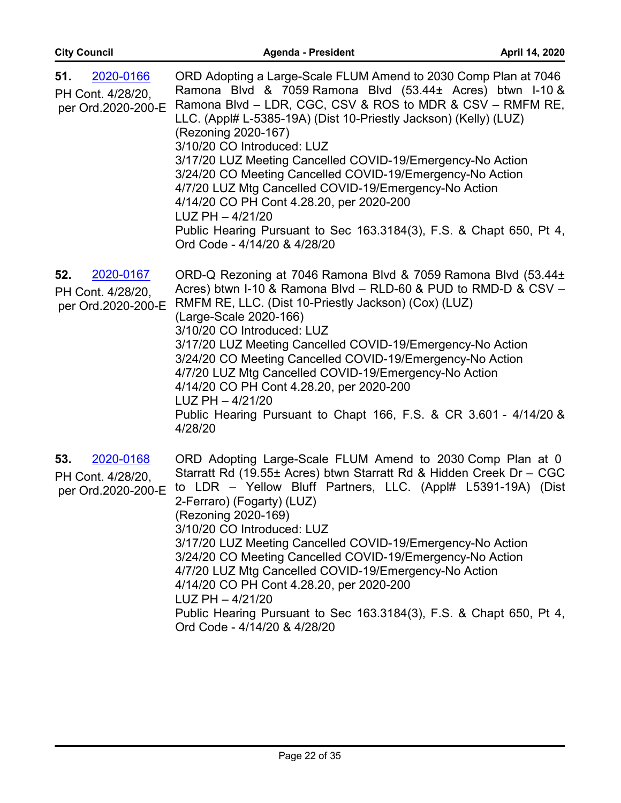| 2020-0166<br>51.<br>PH Cont. 4/28/20,<br>per Ord.2020-200-E | ORD Adopting a Large-Scale FLUM Amend to 2030 Comp Plan at 7046<br>Ramona Blvd & 7059 Ramona Blvd (53.44± Acres) btwn I-10 &<br>Ramona Blvd - LDR, CGC, CSV & ROS to MDR & CSV - RMFM RE,<br>LLC. (Appl# L-5385-19A) (Dist 10-Priestly Jackson) (Kelly) (LUZ)<br>(Rezoning 2020-167)<br>3/10/20 CO Introduced: LUZ<br>3/17/20 LUZ Meeting Cancelled COVID-19/Emergency-No Action<br>3/24/20 CO Meeting Cancelled COVID-19/Emergency-No Action<br>4/7/20 LUZ Mtg Cancelled COVID-19/Emergency-No Action<br>4/14/20 CO PH Cont 4.28.20, per 2020-200<br>$LUZ PH - 4/21/20$<br>Public Hearing Pursuant to Sec 163.3184(3), F.S. & Chapt 650, Pt 4,<br>Ord Code - 4/14/20 & 4/28/20 |
|-------------------------------------------------------------|---------------------------------------------------------------------------------------------------------------------------------------------------------------------------------------------------------------------------------------------------------------------------------------------------------------------------------------------------------------------------------------------------------------------------------------------------------------------------------------------------------------------------------------------------------------------------------------------------------------------------------------------------------------------------------|
| 2020-0167<br>52.<br>PH Cont. 4/28/20,<br>per Ord.2020-200-E | ORD-Q Rezoning at 7046 Ramona Blvd & 7059 Ramona Blvd (53.44±<br>Acres) btwn I-10 & Ramona Blvd - RLD-60 & PUD to RMD-D & CSV -<br>RMFM RE, LLC. (Dist 10-Priestly Jackson) (Cox) (LUZ)<br>(Large-Scale 2020-166)<br>3/10/20 CO Introduced: LUZ<br>3/17/20 LUZ Meeting Cancelled COVID-19/Emergency-No Action<br>3/24/20 CO Meeting Cancelled COVID-19/Emergency-No Action<br>4/7/20 LUZ Mtg Cancelled COVID-19/Emergency-No Action<br>4/14/20 CO PH Cont 4.28.20, per 2020-200<br>$LUZ$ PH $-4/21/20$<br>Public Hearing Pursuant to Chapt 166, F.S. & CR 3.601 - 4/14/20 &<br>4/28/20                                                                                          |
| 2020-0168<br>53.<br>PH Cont. 4/28/20,<br>per Ord.2020-200-E | ORD Adopting Large-Scale FLUM Amend to 2030 Comp Plan at 0<br>Starratt Rd (19.55± Acres) btwn Starratt Rd & Hidden Creek Dr - CGC<br>to LDR - Yellow Bluff Partners, LLC. (Appl# L5391-19A) (Dist<br>2-Ferraro) (Fogarty) (LUZ)<br>(Rezoning 2020-169)<br>3/10/20 CO Introduced: LUZ<br>3/17/20 LUZ Meeting Cancelled COVID-19/Emergency-No Action<br>3/24/20 CO Meeting Cancelled COVID-19/Emergency-No Action<br>4/7/20 LUZ Mtg Cancelled COVID-19/Emergency-No Action<br>4/14/20 CO PH Cont 4.28.20, per 2020-200<br>$LUZ PH - 4/21/20$<br>Public Hearing Pursuant to Sec 163.3184(3), F.S. & Chapt 650, Pt 4,<br>Ord Code - 4/14/20 & 4/28/20                               |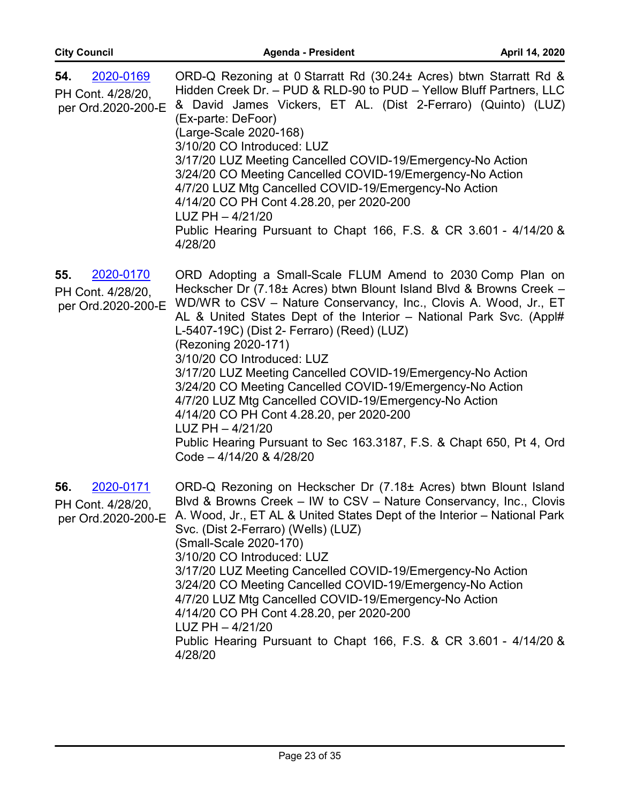| 2020-0169<br>54.<br>PH Cont. 4/28/20,<br>per Ord.2020-200-E | ORD-Q Rezoning at 0 Starratt Rd (30.24± Acres) btwn Starratt Rd &<br>Hidden Creek Dr. - PUD & RLD-90 to PUD - Yellow Bluff Partners, LLC<br>& David James Vickers, ET AL. (Dist 2-Ferraro) (Quinto) (LUZ)<br>(Ex-parte: DeFoor)<br>(Large-Scale 2020-168)<br>3/10/20 CO Introduced: LUZ<br>3/17/20 LUZ Meeting Cancelled COVID-19/Emergency-No Action<br>3/24/20 CO Meeting Cancelled COVID-19/Emergency-No Action<br>4/7/20 LUZ Mtg Cancelled COVID-19/Emergency-No Action<br>4/14/20 CO PH Cont 4.28.20, per 2020-200<br>$LUZ$ PH $-4/21/20$<br>Public Hearing Pursuant to Chapt 166, F.S. & CR 3.601 - 4/14/20 &<br>4/28/20                                                                                                            |
|-------------------------------------------------------------|-------------------------------------------------------------------------------------------------------------------------------------------------------------------------------------------------------------------------------------------------------------------------------------------------------------------------------------------------------------------------------------------------------------------------------------------------------------------------------------------------------------------------------------------------------------------------------------------------------------------------------------------------------------------------------------------------------------------------------------------|
| 2020-0170<br>55.<br>PH Cont. 4/28/20,<br>per Ord.2020-200-E | ORD Adopting a Small-Scale FLUM Amend to 2030 Comp Plan on<br>Heckscher Dr (7.18± Acres) btwn Blount Island Blvd & Browns Creek -<br>WD/WR to CSV - Nature Conservancy, Inc., Clovis A. Wood, Jr., ET<br>AL & United States Dept of the Interior - National Park Svc. (Appl#<br>L-5407-19C) (Dist 2- Ferraro) (Reed) (LUZ)<br>(Rezoning 2020-171)<br>3/10/20 CO Introduced: LUZ<br>3/17/20 LUZ Meeting Cancelled COVID-19/Emergency-No Action<br>3/24/20 CO Meeting Cancelled COVID-19/Emergency-No Action<br>4/7/20 LUZ Mtg Cancelled COVID-19/Emergency-No Action<br>4/14/20 CO PH Cont 4.28.20, per 2020-200<br>$LUZ PH - 4/21/20$<br>Public Hearing Pursuant to Sec 163.3187, F.S. & Chapt 650, Pt 4, Ord<br>Code - 4/14/20 & 4/28/20 |
| 2020-0171<br>56.<br>PH Cont. 4/28/20,<br>per Ord.2020-200-E | ORD-Q Rezoning on Heckscher Dr (7.18± Acres) btwn Blount Island<br>Blvd & Browns Creek - IW to CSV - Nature Conservancy, Inc., Clovis<br>A. Wood, Jr., ET AL & United States Dept of the Interior - National Park<br>Svc. (Dist 2-Ferraro) (Wells) (LUZ)<br>(Small-Scale 2020-170)<br>3/10/20 CO Introduced: LUZ<br>3/17/20 LUZ Meeting Cancelled COVID-19/Emergency-No Action<br>3/24/20 CO Meeting Cancelled COVID-19/Emergency-No Action<br>4/7/20 LUZ Mtg Cancelled COVID-19/Emergency-No Action<br>4/14/20 CO PH Cont 4.28.20, per 2020-200<br>$LUZ$ PH $-4/21/20$<br>Public Hearing Pursuant to Chapt 166, F.S. & CR 3.601 - 4/14/20 &<br>4/28/20                                                                                   |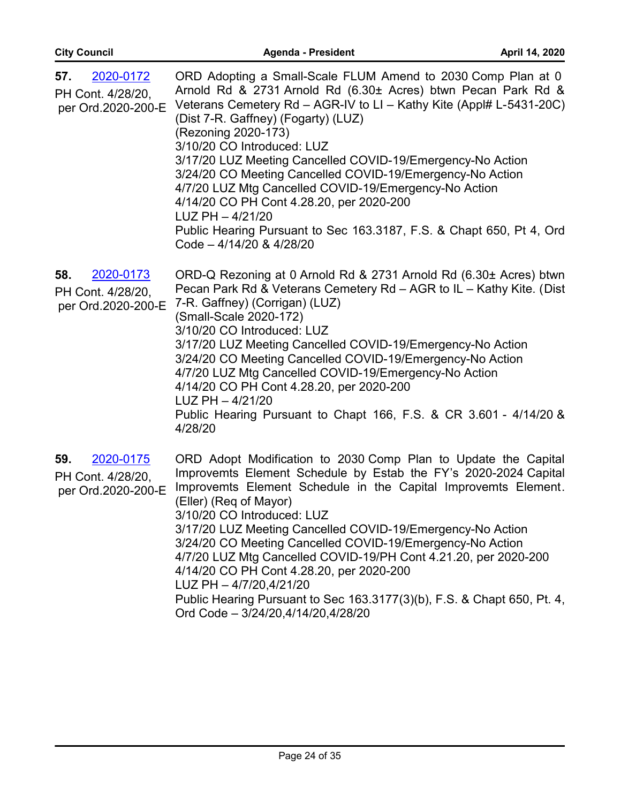| 57.<br>2020-0172<br>PH Cont. 4/28/20,<br>per Ord.2020-200-E | ORD Adopting a Small-Scale FLUM Amend to 2030 Comp Plan at 0<br>Arnold Rd & 2731 Arnold Rd (6.30± Acres) btwn Pecan Park Rd &<br>Veterans Cemetery Rd - AGR-IV to LI - Kathy Kite (Appl# L-5431-20C)<br>(Dist 7-R. Gaffney) (Fogarty) (LUZ)<br>(Rezoning 2020-173)<br>3/10/20 CO Introduced: LUZ<br>3/17/20 LUZ Meeting Cancelled COVID-19/Emergency-No Action<br>3/24/20 CO Meeting Cancelled COVID-19/Emergency-No Action<br>4/7/20 LUZ Mtg Cancelled COVID-19/Emergency-No Action<br>4/14/20 CO PH Cont 4.28.20, per 2020-200<br>$LUZ$ PH $-4/21/20$<br>Public Hearing Pursuant to Sec 163.3187, F.S. & Chapt 650, Pt 4, Ord<br>Code - 4/14/20 & 4/28/20 |
|-------------------------------------------------------------|-------------------------------------------------------------------------------------------------------------------------------------------------------------------------------------------------------------------------------------------------------------------------------------------------------------------------------------------------------------------------------------------------------------------------------------------------------------------------------------------------------------------------------------------------------------------------------------------------------------------------------------------------------------|
| 2020-0173<br>58.<br>PH Cont. 4/28/20,<br>per Ord.2020-200-E | ORD-Q Rezoning at 0 Arnold Rd & 2731 Arnold Rd (6.30± Acres) btwn<br>Pecan Park Rd & Veterans Cemetery Rd - AGR to IL - Kathy Kite. (Dist<br>7-R. Gaffney) (Corrigan) (LUZ)<br>(Small-Scale 2020-172)<br>3/10/20 CO Introduced: LUZ<br>3/17/20 LUZ Meeting Cancelled COVID-19/Emergency-No Action<br>3/24/20 CO Meeting Cancelled COVID-19/Emergency-No Action<br>4/7/20 LUZ Mtg Cancelled COVID-19/Emergency-No Action<br>4/14/20 CO PH Cont 4.28.20, per 2020-200<br>$LUZ$ PH $-4/21/20$<br>Public Hearing Pursuant to Chapt 166, F.S. & CR 3.601 - 4/14/20 &<br>4/28/20                                                                                  |
| 59.<br>2020-0175<br>PH Cont. 4/28/20,<br>per Ord.2020-200-E | ORD Adopt Modification to 2030 Comp Plan to Update the Capital<br>Improvemts Element Schedule by Estab the FY's 2020-2024 Capital<br>Improvemts Element Schedule in the Capital Improvemts Element.<br>(Eller) (Req of Mayor)<br>3/10/20 CO Introduced: LUZ<br>3/17/20 LUZ Meeting Cancelled COVID-19/Emergency-No Action<br>3/24/20 CO Meeting Cancelled COVID-19/Emergency-No Action<br>4/7/20 LUZ Mtg Cancelled COVID-19/PH Cont 4.21.20, per 2020-200<br>4/14/20 CO PH Cont 4.28.20, per 2020-200<br>LUZ PH - 4/7/20,4/21/20<br>Public Hearing Pursuant to Sec 163.3177(3)(b), F.S. & Chapt 650, Pt. 4,<br>Ord Code - 3/24/20,4/14/20,4/28/20           |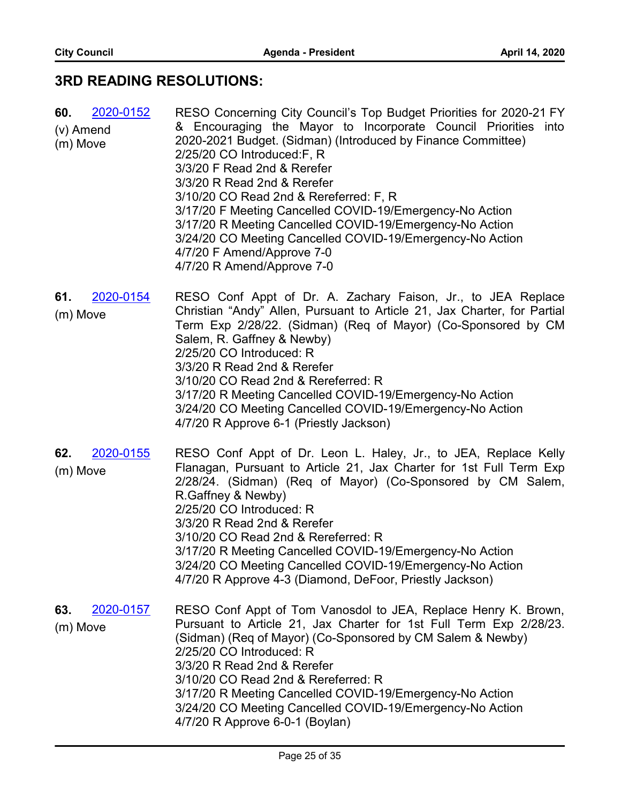#### **3RD READING RESOLUTIONS:**

| 2020-0152<br>60.      | RESO Concerning City Council's Top Budget Priorities for 2020-21 FY                                                                                                                                                                                                                                                    |
|-----------------------|------------------------------------------------------------------------------------------------------------------------------------------------------------------------------------------------------------------------------------------------------------------------------------------------------------------------|
| (v) Amend<br>(m) Move | & Encouraging the Mayor to Incorporate Council Priorities into<br>2020-2021 Budget. (Sidman) (Introduced by Finance Committee)<br>2/25/20 CO Introduced: F, R<br>3/3/20 F Read 2nd & Rerefer                                                                                                                           |
|                       | 3/3/20 R Read 2nd & Rerefer<br>3/10/20 CO Read 2nd & Rereferred: F, R<br>3/17/20 F Meeting Cancelled COVID-19/Emergency-No Action<br>3/17/20 R Meeting Cancelled COVID-19/Emergency-No Action<br>3/24/20 CO Meeting Cancelled COVID-19/Emergency-No Action<br>4/7/20 F Amend/Approve 7-0<br>4/7/20 R Amend/Approve 7-0 |

- RESO Conf Appt of Dr. A. Zachary Faison, Jr., to JEA Replace Christian "Andy" Allen, Pursuant to Article 21, Jax Charter, for Partial Term Exp 2/28/22. (Sidman) (Req of Mayor) (Co-Sponsored by CM Salem, R. Gaffney & Newby) 2/25/20 CO Introduced: R 3/3/20 R Read 2nd & Rerefer 3/10/20 CO Read 2nd & Rereferred: R 3/17/20 R Meeting Cancelled COVID-19/Emergency-No Action 3/24/20 CO Meeting Cancelled COVID-19/Emergency-No Action 4/7/20 R Approve 6-1 (Priestly Jackson) **61.** [2020-0154](http://jaxcityc.legistar.com/gateway.aspx?m=l&id=/matter.aspx?key=2217) (m) Move
- RESO Conf Appt of Dr. Leon L. Haley, Jr., to JEA, Replace Kelly Flanagan, Pursuant to Article 21, Jax Charter for 1st Full Term Exp 2/28/24. (Sidman) (Req of Mayor) (Co-Sponsored by CM Salem, R.Gaffney & Newby) 2/25/20 CO Introduced: R 3/3/20 R Read 2nd & Rerefer 3/10/20 CO Read 2nd & Rereferred: R 3/17/20 R Meeting Cancelled COVID-19/Emergency-No Action 3/24/20 CO Meeting Cancelled COVID-19/Emergency-No Action 4/7/20 R Approve 4-3 (Diamond, DeFoor, Priestly Jackson) **62.** [2020-0155](http://jaxcityc.legistar.com/gateway.aspx?m=l&id=/matter.aspx?key=2218) (m) Move
- RESO Conf Appt of Tom Vanosdol to JEA, Replace Henry K. Brown, Pursuant to Article 21, Jax Charter for 1st Full Term Exp 2/28/23. (Sidman) (Req of Mayor) (Co-Sponsored by CM Salem & Newby) 2/25/20 CO Introduced: R 3/3/20 R Read 2nd & Rerefer 3/10/20 CO Read 2nd & Rereferred: R 3/17/20 R Meeting Cancelled COVID-19/Emergency-No Action 3/24/20 CO Meeting Cancelled COVID-19/Emergency-No Action 4/7/20 R Approve 6-0-1 (Boylan) **63.** [2020-0157](http://jaxcityc.legistar.com/gateway.aspx?m=l&id=/matter.aspx?key=2220) (m) Move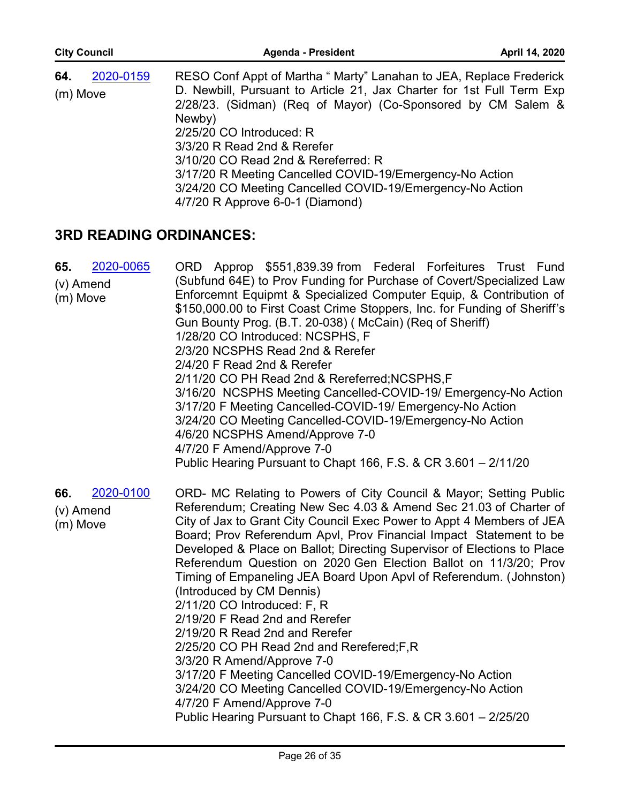| <b>City Council</b> | <b>Agenda - President</b>                                                                                                                       | April 14, 2020 |
|---------------------|-------------------------------------------------------------------------------------------------------------------------------------------------|----------------|
| 2020-0159<br>64.    | RESO Conf Appt of Martha " Marty" Lanahan to JEA, Replace Frederick                                                                             |                |
| (m) Move            | D. Newbill, Pursuant to Article 21, Jax Charter for 1st Full Term Exp<br>2/28/23. (Sidman) (Req of Mayor) (Co-Sponsored by CM Salem &<br>Newby) |                |
|                     | 2/25/20 CO Introduced: R<br>3/3/20 R Read 2nd & Rerefer                                                                                         |                |
|                     | 3/10/20 CO Read 2nd & Rereferred: R                                                                                                             |                |
|                     | 3/17/20 R Meeting Cancelled COVID-19/Emergency-No Action                                                                                        |                |
|                     | 3/24/20 CO Meeting Cancelled COVID-19/Emergency-No Action                                                                                       |                |

4/7/20 R Approve 6-0-1 (Diamond)

#### **3RD READING ORDINANCES:**

| 2020-0065<br>65.<br>$(v)$ Amend<br>(m) Move | ORD Approp \$551,839.39 from Federal Forfeitures Trust Fund<br>(Subfund 64E) to Prov Funding for Purchase of Covert/Specialized Law<br>Enforcemnt Equipmt & Specialized Computer Equip, & Contribution of<br>\$150,000.00 to First Coast Crime Stoppers, Inc. for Funding of Sheriff's<br>Gun Bounty Prog. (B.T. 20-038) (McCain) (Req of Sheriff)<br>1/28/20 CO Introduced: NCSPHS, F<br>2/3/20 NCSPHS Read 2nd & Rerefer<br>2/4/20 F Read 2nd & Rerefer<br>2/11/20 CO PH Read 2nd & Rereferred; NCSPHS, F<br>3/16/20 NCSPHS Meeting Cancelled-COVID-19/ Emergency-No Action<br>3/17/20 F Meeting Cancelled-COVID-19/ Emergency-No Action<br>3/24/20 CO Meeting Cancelled-COVID-19/Emergency-No Action<br>4/6/20 NCSPHS Amend/Approve 7-0<br>4/7/20 F Amend/Approve 7-0<br>Public Hearing Pursuant to Chapt 166, F.S. & CR 3.601 - 2/11/20                                                                                                       |
|---------------------------------------------|---------------------------------------------------------------------------------------------------------------------------------------------------------------------------------------------------------------------------------------------------------------------------------------------------------------------------------------------------------------------------------------------------------------------------------------------------------------------------------------------------------------------------------------------------------------------------------------------------------------------------------------------------------------------------------------------------------------------------------------------------------------------------------------------------------------------------------------------------------------------------------------------------------------------------------------------------|
| 2020-0100<br>66.<br>(v) Amend<br>(m) Move   | ORD- MC Relating to Powers of City Council & Mayor; Setting Public<br>Referendum; Creating New Sec 4.03 & Amend Sec 21.03 of Charter of<br>City of Jax to Grant City Council Exec Power to Appt 4 Members of JEA<br>Board; Prov Referendum Apvl, Prov Financial Impact Statement to be<br>Developed & Place on Ballot; Directing Supervisor of Elections to Place<br>Referendum Question on 2020 Gen Election Ballot on 11/3/20; Prov<br>Timing of Empaneling JEA Board Upon Apvl of Referendum. (Johnston)<br>(Introduced by CM Dennis)<br>2/11/20 CO Introduced: F, R<br>2/19/20 F Read 2nd and Rerefer<br>2/19/20 R Read 2nd and Rerefer<br>2/25/20 CO PH Read 2nd and Rerefered; F, R<br>3/3/20 R Amend/Approve 7-0<br>3/17/20 F Meeting Cancelled COVID-19/Emergency-No Action<br>3/24/20 CO Meeting Cancelled COVID-19/Emergency-No Action<br>4/7/20 F Amend/Approve 7-0<br>Public Hearing Pursuant to Chapt 166, F.S. & CR 3.601 - 2/25/20 |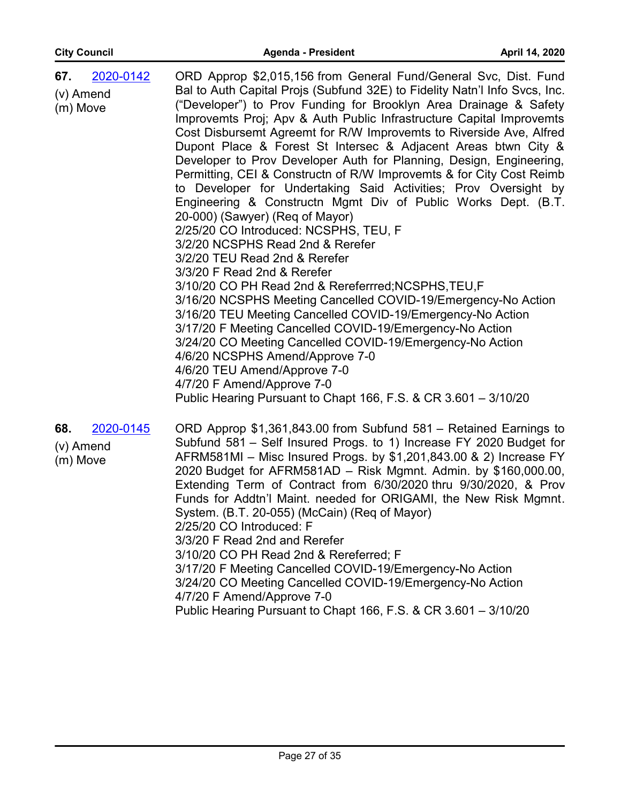| 2020-0142<br>67.<br>(v) Amend<br>(m) Move | ORD Approp \$2,015,156 from General Fund/General Svc, Dist. Fund<br>Bal to Auth Capital Projs (Subfund 32E) to Fidelity Natn'l Info Svcs, Inc.<br>("Developer") to Prov Funding for Brooklyn Area Drainage & Safety<br>Improvemts Proj; Apv & Auth Public Infrastructure Capital Improvemts<br>Cost Disbursemt Agreemt for R/W Improvemts to Riverside Ave, Alfred<br>Dupont Place & Forest St Intersec & Adjacent Areas btwn City &<br>Developer to Prov Developer Auth for Planning, Design, Engineering,<br>Permitting, CEI & Constructn of R/W Improvemts & for City Cost Reimb<br>to Developer for Undertaking Said Activities; Prov Oversight by<br>Engineering & Constructn Mgmt Div of Public Works Dept. (B.T.<br>20-000) (Sawyer) (Req of Mayor)<br>2/25/20 CO Introduced: NCSPHS, TEU, F<br>3/2/20 NCSPHS Read 2nd & Rerefer<br>3/2/20 TEU Read 2nd & Rerefer<br>3/3/20 F Read 2nd & Rerefer<br>3/10/20 CO PH Read 2nd & Rereferrred; NCSPHS, TEU, F<br>3/16/20 NCSPHS Meeting Cancelled COVID-19/Emergency-No Action<br>3/16/20 TEU Meeting Cancelled COVID-19/Emergency-No Action<br>3/17/20 F Meeting Cancelled COVID-19/Emergency-No Action<br>3/24/20 CO Meeting Cancelled COVID-19/Emergency-No Action<br>4/6/20 NCSPHS Amend/Approve 7-0<br>4/6/20 TEU Amend/Approve 7-0 |
|-------------------------------------------|--------------------------------------------------------------------------------------------------------------------------------------------------------------------------------------------------------------------------------------------------------------------------------------------------------------------------------------------------------------------------------------------------------------------------------------------------------------------------------------------------------------------------------------------------------------------------------------------------------------------------------------------------------------------------------------------------------------------------------------------------------------------------------------------------------------------------------------------------------------------------------------------------------------------------------------------------------------------------------------------------------------------------------------------------------------------------------------------------------------------------------------------------------------------------------------------------------------------------------------------------------------------------------------------|
|                                           | 4/7/20 F Amend/Approve 7-0<br>Public Hearing Pursuant to Chapt 166, F.S. & CR 3.601 - 3/10/20                                                                                                                                                                                                                                                                                                                                                                                                                                                                                                                                                                                                                                                                                                                                                                                                                                                                                                                                                                                                                                                                                                                                                                                              |
| 2020-0145<br>68.<br>(v) Amend<br>(m) Move | ORD Approp \$1,361,843.00 from Subfund 581 – Retained Earnings to<br>Subfund 581 – Self Insured Progs. to 1) Increase FY 2020 Budget for<br>AFRM581MI - Misc Insured Progs. by \$1,201,843.00 & 2) Increase FY<br>2020 Budget for AFRM581AD - Risk Mgmnt. Admin. by \$160,000.00,<br>Extending Term of Contract from 6/30/2020 thru 9/30/2020, & Prov<br>Funds for Addtn'l Maint. needed for ORIGAMI, the New Risk Mgmnt.<br>System. (B.T. 20-055) (McCain) (Req of Mayor)<br>2/25/20 CO Introduced: F<br>3/3/20 F Read 2nd and Rerefer<br>3/10/20 CO PH Read 2nd & Rereferred; F<br>3/17/20 F Meeting Cancelled COVID-19/Emergency-No Action<br>3/24/20 CO Meeting Cancelled COVID-19/Emergency-No Action<br>4/7/20 F Amend/Approve 7-0                                                                                                                                                                                                                                                                                                                                                                                                                                                                                                                                                   |

Public Hearing Pursuant to Chapt 166, F.S. & CR 3.601 – 3/10/20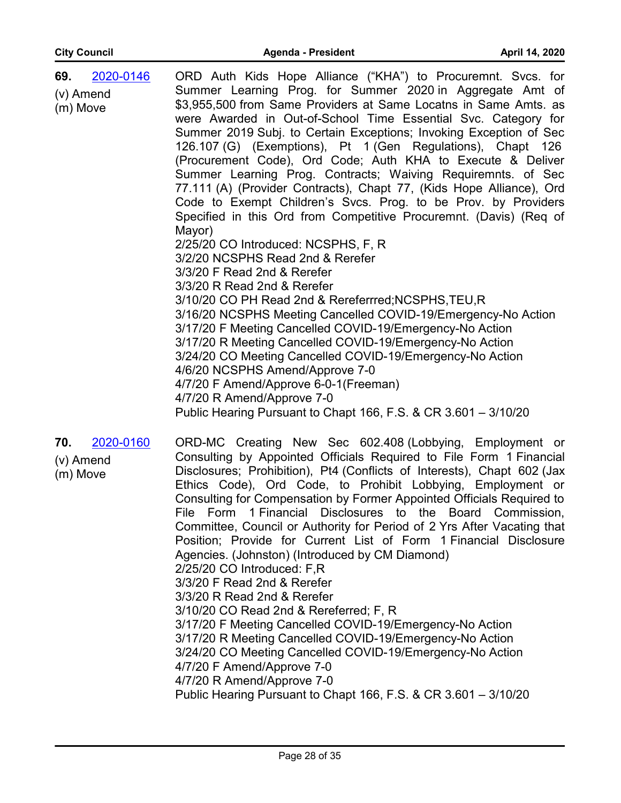| 2020-0146<br>69.<br>$(v)$ Amend<br>(m) Move | ORD Auth Kids Hope Alliance ("KHA") to Procuremnt. Svcs. for<br>Summer Learning Prog. for Summer 2020 in Aggregate Amt of<br>\$3,955,500 from Same Providers at Same Locatns in Same Amts. as<br>were Awarded in Out-of-School Time Essential Svc. Category for<br>Summer 2019 Subj. to Certain Exceptions; Invoking Exception of Sec<br>126.107 (G) (Exemptions), Pt 1 (Gen Regulations), Chapt 126<br>(Procurement Code), Ord Code; Auth KHA to Execute & Deliver<br>Summer Learning Prog. Contracts; Waiving Requiremnts. of Sec<br>77.111 (A) (Provider Contracts), Chapt 77, (Kids Hope Alliance), Ord<br>Code to Exempt Children's Svcs. Prog. to be Prov. by Providers<br>Specified in this Ord from Competitive Procuremnt. (Davis) (Req of<br>Mayor)<br>2/25/20 CO Introduced: NCSPHS, F, R<br>3/2/20 NCSPHS Read 2nd & Rerefer<br>3/3/20 F Read 2nd & Rerefer<br>3/3/20 R Read 2nd & Rerefer<br>3/10/20 CO PH Read 2nd & Rereferrred; NCSPHS, TEU, R<br>3/16/20 NCSPHS Meeting Cancelled COVID-19/Emergency-No Action<br>3/17/20 F Meeting Cancelled COVID-19/Emergency-No Action<br>3/17/20 R Meeting Cancelled COVID-19/Emergency-No Action<br>3/24/20 CO Meeting Cancelled COVID-19/Emergency-No Action<br>4/6/20 NCSPHS Amend/Approve 7-0<br>4/7/20 F Amend/Approve 6-0-1(Freeman)<br>4/7/20 R Amend/Approve 7-0<br>Public Hearing Pursuant to Chapt 166, F.S. & CR 3.601 - 3/10/20 |
|---------------------------------------------|---------------------------------------------------------------------------------------------------------------------------------------------------------------------------------------------------------------------------------------------------------------------------------------------------------------------------------------------------------------------------------------------------------------------------------------------------------------------------------------------------------------------------------------------------------------------------------------------------------------------------------------------------------------------------------------------------------------------------------------------------------------------------------------------------------------------------------------------------------------------------------------------------------------------------------------------------------------------------------------------------------------------------------------------------------------------------------------------------------------------------------------------------------------------------------------------------------------------------------------------------------------------------------------------------------------------------------------------------------------------------------------------------|
| 2020-0160<br>70.<br>(v) Amend<br>(m) Move   | ORD-MC Creating New Sec 602.408 (Lobbying, Employment or<br>Consulting by Appointed Officials Required to File Form 1 Financial<br>Disclosures; Prohibition), Pt4 (Conflicts of Interests), Chapt 602 (Jax                                                                                                                                                                                                                                                                                                                                                                                                                                                                                                                                                                                                                                                                                                                                                                                                                                                                                                                                                                                                                                                                                                                                                                                        |

Disclosures; Prohibition), Pt4 (Conflicts of Interests), Chapt 602 (Jax Ethics Code), Ord Code, to Prohibit Lobbying, Employment or Consulting for Compensation by Former Appointed Officials Required to File Form 1 Financial Disclosures to the Board Commission, Committee, Council or Authority for Period of 2 Yrs After Vacating that Position; Provide for Current List of Form 1 Financial Disclosure Agencies. (Johnston) (Introduced by CM Diamond) 2/25/20 CO Introduced: F,R 3/3/20 F Read 2nd & Rerefer 3/3/20 R Read 2nd & Rerefer 3/10/20 CO Read 2nd & Rereferred; F, R 3/17/20 F Meeting Cancelled COVID-19/Emergency-No Action 3/17/20 R Meeting Cancelled COVID-19/Emergency-No Action 3/24/20 CO Meeting Cancelled COVID-19/Emergency-No Action 4/7/20 F Amend/Approve 7-0 4/7/20 R Amend/Approve 7-0 Public Hearing Pursuant to Chapt 166, F.S. & CR 3.601 – 3/10/20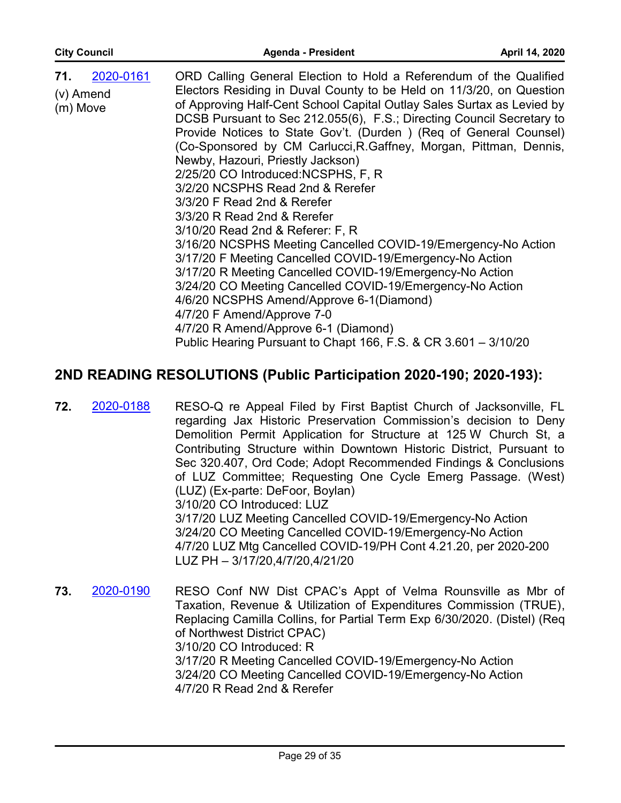| 2020-0161<br>71.            | ORD Calling General Election to Hold a Referendum of the Qualified     |
|-----------------------------|------------------------------------------------------------------------|
| (v) Amend                   | Electors Residing in Duval County to be Held on 11/3/20, on Question   |
| (m) Move                    | of Approving Half-Cent School Capital Outlay Sales Surtax as Levied by |
|                             | DCSB Pursuant to Sec 212.055(6), F.S.; Directing Council Secretary to  |
|                             | Provide Notices to State Gov't. (Durden) (Req of General Counsel)      |
|                             | (Co-Sponsored by CM Carlucci, R. Gaffney, Morgan, Pittman, Dennis,     |
|                             | Newby, Hazouri, Priestly Jackson)                                      |
|                             | 2/25/20 CO Introduced: NCSPHS, F, R                                    |
|                             | 3/2/20 NCSPHS Read 2nd & Rerefer                                       |
|                             | 3/3/20 F Read 2nd & Rerefer                                            |
|                             | 3/3/20 R Read 2nd & Rerefer                                            |
|                             | 3/10/20 Read 2nd & Referer: F, R                                       |
|                             | 3/16/20 NCSPHS Meeting Cancelled COVID-19/Emergency-No Action          |
|                             | 3/17/20 F Meeting Cancelled COVID-19/Emergency-No Action               |
|                             | 3/17/20 R Meeting Cancelled COVID-19/Emergency-No Action               |
|                             | 3/24/20 CO Meeting Cancelled COVID-19/Emergency-No Action              |
|                             | 4/6/20 NCSPHS Amend/Approve 6-1(Diamond)                               |
|                             | 4/7/20 F Amend/Approve 7-0                                             |
| <i><b>*CLERK READS*</b></i> | 4/7/20 R Amend/Approve 6-1 (Diamond)                                   |
|                             | Public Hearing Pursuant to Chapt 166, F.S. & CR 3.601 - 3/10/20        |

### **2ND READING RESOLUTIONS (Public Participation 2020-190; 2020-193):**

- RESO-Q re Appeal Filed by First Baptist Church of Jacksonville, FL regarding Jax Historic Preservation Commission's decision to Deny Demolition Permit Application for Structure at 125 W Church St, a Contributing Structure within Downtown Historic District, Pursuant to Sec 320.407, Ord Code; Adopt Recommended Findings & Conclusions of LUZ Committee; Requesting One Cycle Emerg Passage. (West) (LUZ) (Ex-parte: DeFoor, Boylan) 3/10/20 CO Introduced: LUZ 3/17/20 LUZ Meeting Cancelled COVID-19/Emergency-No Action 3/24/20 CO Meeting Cancelled COVID-19/Emergency-No Action 4/7/20 LUZ Mtg Cancelled COVID-19/PH Cont 4.21.20, per 2020-200 LUZ PH – 3/17/20,4/7/20,4/21/20 **72.** [2020-0188](http://jaxcityc.legistar.com/gateway.aspx?m=l&id=/matter.aspx?key=2255)
- RESO Conf NW Dist CPAC's Appt of Velma Rounsville as Mbr of Taxation, Revenue & Utilization of Expenditures Commission (TRUE), Replacing Camilla Collins, for Partial Term Exp 6/30/2020. (Distel) (Req of Northwest District CPAC) 3/10/20 CO Introduced: R 3/17/20 R Meeting Cancelled COVID-19/Emergency-No Action 3/24/20 CO Meeting Cancelled COVID-19/Emergency-No Action 4/7/20 R Read 2nd & Rerefer **73.** [2020-0190](http://jaxcityc.legistar.com/gateway.aspx?m=l&id=/matter.aspx?key=2257)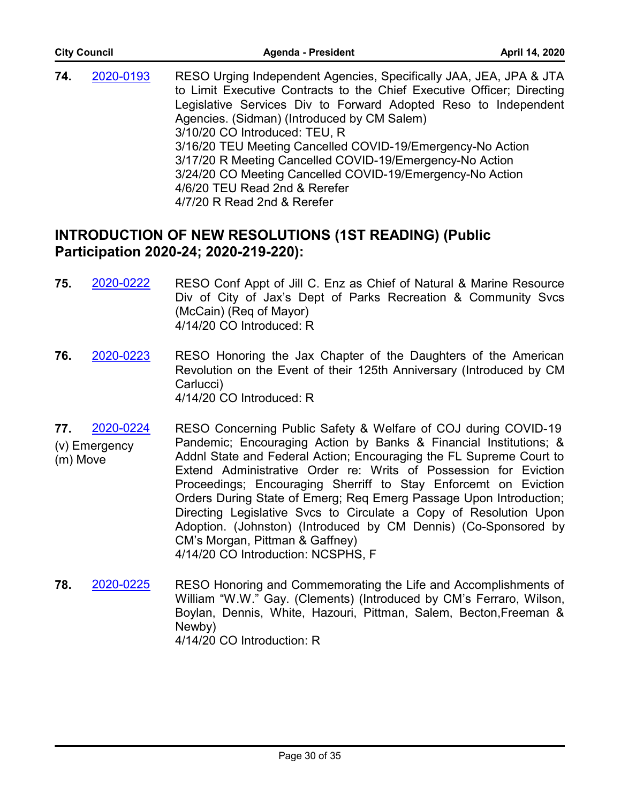| <b>City Council</b> |           | <b>Agenda - President</b>                                                                                                                                                                                                                                                                                                                                                                                                                                                                                                                              | April 14, 2020 |  |
|---------------------|-----------|--------------------------------------------------------------------------------------------------------------------------------------------------------------------------------------------------------------------------------------------------------------------------------------------------------------------------------------------------------------------------------------------------------------------------------------------------------------------------------------------------------------------------------------------------------|----------------|--|
| 74.                 | 2020-0193 | RESO Urging Independent Agencies, Specifically JAA, JEA, JPA & JTA<br>to Limit Executive Contracts to the Chief Executive Officer; Directing<br>Legislative Services Div to Forward Adopted Reso to Independent<br>Agencies. (Sidman) (Introduced by CM Salem)<br>3/10/20 CO Introduced: TEU, R<br>3/16/20 TEU Meeting Cancelled COVID-19/Emergency-No Action<br>3/17/20 R Meeting Cancelled COVID-19/Emergency-No Action<br>3/24/20 CO Meeting Cancelled COVID-19/Emergency-No Action<br>4/6/20 TEU Read 2nd & Rerefer<br>4/7/20 R Read 2nd & Rerefer |                |  |

### **INTRODUCTION OF NEW RESOLUTIONS (1ST READING) (Public Participation 2020-24)**

- **75.** [2020-0222](http://jaxcityc.legistar.com/gateway.aspx?m=l&id=/matter.aspx?key=2295) RESO Conf Appt of Jill C. Enz as Chief of Natural & Marine Resource Div of City of Jax's Dept of Parks Recreation & Community Svcs (McCain) (Req of Mayor) 4/14/20 CO Introduced: R
- **76.** [2020-0223](http://jaxcityc.legistar.com/gateway.aspx?m=l&id=/matter.aspx?key=2296) RESO Honoring the Jax Chapter of the Daughters of the American Revolution on the Event of their 125th Anniversary (Introduced by CM Carlucci) 4/14/20 CO Introduced: R
- **77.** [2020-0224](http://jaxcityc.legistar.com/gateway.aspx?m=l&id=/matter.aspx?key=2297) (v) Emergency (m) Move RESO Concerning Public Safety & Welfare of COJ during COVID-19 Pandemic; Encouraging Action by Banks & Financial Institutions; & Addnl State and Federal Action; Encouraging the FL Supreme Court to Extend Administrative Order re: Writs of Possession for Eviction Proceedings; Encouraging Sherriff to Stay Enforcemt on Eviction Orders During State of Emerg; **Req Emerg Passage Upon Introduction**; Directing Legislative Svcs to Circulate a Copy of Resolution Upon Adoption. (Johnston) (Introduced by CM Dennis) (Co-Sponsored by CM's Morgan, Pittman & Gaffney) 4/14/20 CO Introduction: NCSPHS, F
- RESO Honoring and Commemorating the Life and Accomplishments of William "W.W." Gay. (Clements) (Introduced by CM's Ferraro, Wilson, Boylan, Dennis, White, Hazouri, Pittman, Salem, Becton,Freeman & Newby) 4/14/20 CO Introduction: R **78.** [2020-0225](http://jaxcityc.legistar.com/gateway.aspx?m=l&id=/matter.aspx?key=2298)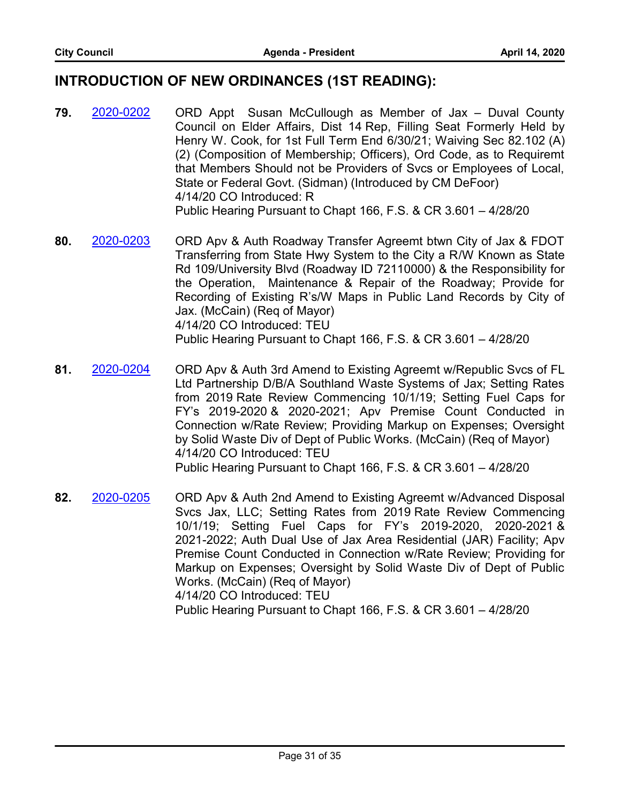#### **INTRODUCTION OF NEW ORDINANCES (1ST READING):**

- ORD Appt Susan McCullough as Member of Jax Duval County Council on Elder Affairs, Dist 14 Rep, Filling Seat Formerly Held by Henry W. Cook, for 1st Full Term End 6/30/21; Waiving Sec 82.102 (A) (2) (Composition of Membership; Officers), Ord Code, as to Requiremt that Members Should not be Providers of Svcs or Employees of Local, State or Federal Govt. (Sidman) (Introduced by CM DeFoor) 4/14/20 CO Introduced: R Public Hearing Pursuant to Chapt 166, F.S. & CR 3.601 – 4/28/20 **79.** [2020-0202](http://jaxcityc.legistar.com/gateway.aspx?m=l&id=/matter.aspx?key=2275)
- ORD Apv & Auth Roadway Transfer Agreemt btwn City of Jax & FDOT Transferring from State Hwy System to the City a R/W Known as State Rd 109/University Blvd (Roadway ID 72110000) & the Responsibility for the Operation, Maintenance & Repair of the Roadway; Provide for Recording of Existing R's/W Maps in Public Land Records by City of Jax. (McCain) (Req of Mayor) 4/14/20 CO Introduced: TEU Public Hearing Pursuant to Chapt 166, F.S. & CR 3.601 – 4/28/20 **80.** [2020-0203](http://jaxcityc.legistar.com/gateway.aspx?m=l&id=/matter.aspx?key=2276)
- ORD Apv & Auth 3rd Amend to Existing Agreemt w/Republic Svcs of FL Ltd Partnership D/B/A Southland Waste Systems of Jax; Setting Rates from 2019 Rate Review Commencing 10/1/19; Setting Fuel Caps for FY's 2019-2020 & 2020-2021; Apv Premise Count Conducted in Connection w/Rate Review; Providing Markup on Expenses; Oversight by Solid Waste Div of Dept of Public Works. (McCain) (Req of Mayor) 4/14/20 CO Introduced: TEU Public Hearing Pursuant to Chapt 166, F.S. & CR 3.601 – 4/28/20 **81.** [2020-0204](http://jaxcityc.legistar.com/gateway.aspx?m=l&id=/matter.aspx?key=2277)
- ORD Apv & Auth 2nd Amend to Existing Agreemt w/Advanced Disposal Svcs Jax, LLC; Setting Rates from 2019 Rate Review Commencing 10/1/19; Setting Fuel Caps for FY's 2019-2020, 2020-2021 & 2021-2022; Auth Dual Use of Jax Area Residential (JAR) Facility; Apv Premise Count Conducted in Connection w/Rate Review; Providing for Markup on Expenses; Oversight by Solid Waste Div of Dept of Public Works. (McCain) (Req of Mayor) 4/14/20 CO Introduced: TEU Public Hearing Pursuant to Chapt 166, F.S. & CR 3.601 – 4/28/20 **82.** [2020-0205](http://jaxcityc.legistar.com/gateway.aspx?m=l&id=/matter.aspx?key=2278)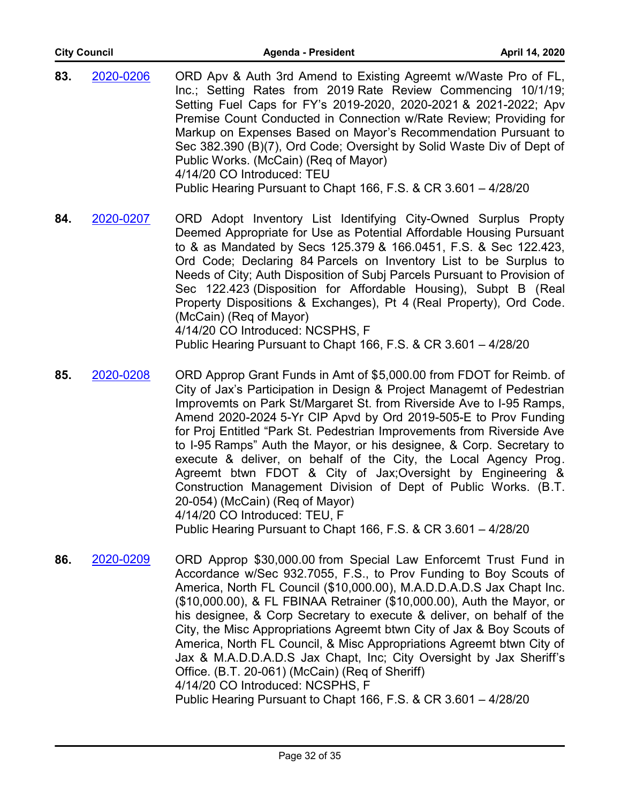| <b>City Council</b> |           | <b>Agenda - President</b>                                                                                                                                                                                                                                                                                                                                                                                                                                                                                                                                       | April 14, 2020 |
|---------------------|-----------|-----------------------------------------------------------------------------------------------------------------------------------------------------------------------------------------------------------------------------------------------------------------------------------------------------------------------------------------------------------------------------------------------------------------------------------------------------------------------------------------------------------------------------------------------------------------|----------------|
| 83.                 | 2020-0206 | ORD Apv & Auth 3rd Amend to Existing Agreemt w/Waste Pro of FL,<br>Inc.; Setting Rates from 2019 Rate Review Commencing 10/1/19;<br>Setting Fuel Caps for FY's 2019-2020, 2020-2021 & 2021-2022; Apv<br>Premise Count Conducted in Connection w/Rate Review; Providing for<br>Markup on Expenses Based on Mayor's Recommendation Pursuant to<br>Sec 382.390 (B)(7), Ord Code; Oversight by Solid Waste Div of Dept of<br>Public Works. (McCain) (Req of Mayor)<br>4/14/20 CO Introduced: TEU<br>Public Hearing Pursuant to Chapt 166, F.S. & CR 3.601 - 4/28/20 |                |
| 84.                 | 2020-0207 | ORD Adopt Inventory List Identifying City-Owned Surplus Propty<br>Deemed Appropriate for Use as Potential Affordable Housing Pursuant<br>to & as Mandated by Secs 125.379 & 166.0451, F.S. & Sec 122.423,<br>Ord Code; Declaring 84 Parcels on Inventory List to be Surplus to<br>Needs of City; Auth Disposition of Subj Parcels Pursuant to Provision of<br>Sec 122.423 (Disposition for Affordable Housing), Subpt B (Real<br>Property Dispositions & Exchanges), Pt 4 (Real Property), Ord Code.<br>(McCain) (Req of Mayor)                                 |                |

4/14/20 CO Introduced: NCSPHS, F

Public Hearing Pursuant to Chapt 166, F.S. & CR 3.601 – 4/28/20

- ORD Approp Grant Funds in Amt of \$5,000.00 from FDOT for Reimb. of City of Jax's Participation in Design & Project Managemt of Pedestrian Improvemts on Park St/Margaret St. from Riverside Ave to I-95 Ramps, Amend 2020-2024 5-Yr CIP Apvd by Ord 2019-505-E to Prov Funding for Proj Entitled "Park St. Pedestrian Improvements from Riverside Ave to I-95 Ramps" Auth the Mayor, or his designee, & Corp. Secretary to execute & deliver, on behalf of the City, the Local Agency Prog. Agreemt btwn FDOT & City of Jax;Oversight by Engineering & Construction Management Division of Dept of Public Works. (B.T. 20-054) (McCain) (Req of Mayor) 4/14/20 CO Introduced: TEU, F Public Hearing Pursuant to Chapt 166, F.S. & CR 3.601 – 4/28/20 **85.** [2020-0208](http://jaxcityc.legistar.com/gateway.aspx?m=l&id=/matter.aspx?key=2281)
- ORD Approp \$30,000.00 from Special Law Enforcemt Trust Fund in Accordance w/Sec 932.7055, F.S., to Prov Funding to Boy Scouts of America, North FL Council (\$10,000.00), M.A.D.D.A.D.S Jax Chapt Inc. (\$10,000.00), & FL FBINAA Retrainer (\$10,000.00), Auth the Mayor, or his designee, & Corp Secretary to execute & deliver, on behalf of the City, the Misc Appropriations Agreemt btwn City of Jax & Boy Scouts of America, North FL Council, & Misc Appropriations Agreemt btwn City of Jax & M.A.D.D.A.D.S Jax Chapt, Inc; City Oversight by Jax Sheriff's Office. (B.T. 20-061) (McCain) (Req of Sheriff) 4/14/20 CO Introduced: NCSPHS, F Public Hearing Pursuant to Chapt 166, F.S. & CR 3.601 – 4/28/20 **86.** [2020-0209](http://jaxcityc.legistar.com/gateway.aspx?m=l&id=/matter.aspx?key=2282)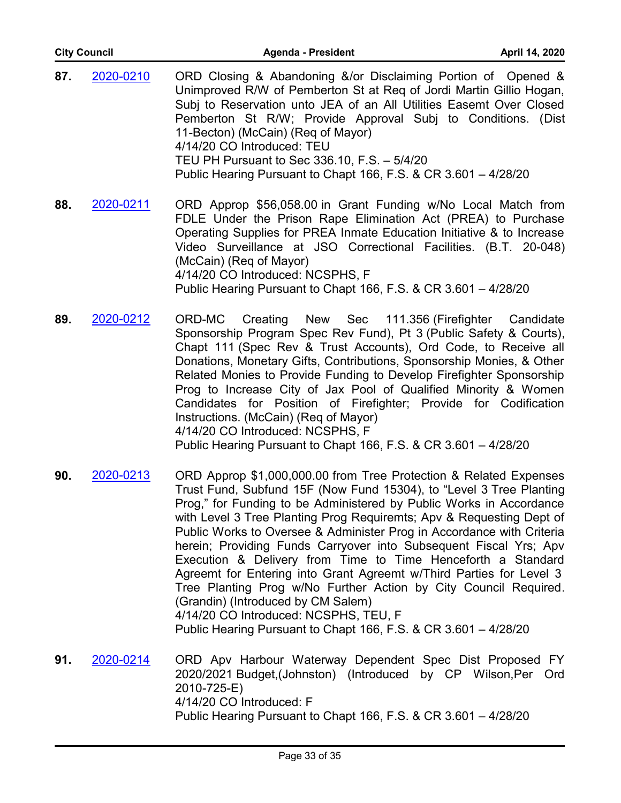| <b>City Council</b> |           | Agenda - President<br>April 14, 2020                                                                                                                                                                                                                                                                                                                                                                                                                               |  |
|---------------------|-----------|--------------------------------------------------------------------------------------------------------------------------------------------------------------------------------------------------------------------------------------------------------------------------------------------------------------------------------------------------------------------------------------------------------------------------------------------------------------------|--|
| 87.                 | 2020-0210 | ORD Closing & Abandoning &/or Disclaiming Portion of Opened &<br>Unimproved R/W of Pemberton St at Req of Jordi Martin Gillio Hogan,<br>Subj to Reservation unto JEA of an All Utilities Easemt Over Closed<br>Pemberton St R/W; Provide Approval Subj to Conditions. (Dist<br>11-Becton) (McCain) (Req of Mayor)<br>4/14/20 CO Introduced: TEU<br>TEU PH Pursuant to Sec 336.10, F.S. - 5/4/20<br>Public Hearing Pursuant to Chapt 166, F.S. & CR 3.601 - 4/28/20 |  |
| 88.                 | 2020-0211 | ORD Approp \$56,058.00 in Grant Funding w/No Local Match from<br>FDLE Under the Prison Rape Elimination Act (PREA) to Purchase<br>Operating Supplies for PREA Inmate Education Initiative & to Increase<br>Video Surveillance at JSO Correctional Facilities. (B.T. 20-048)<br>(McCain) (Req of Mayor)<br>4/14/20 CO Introduced: NCSPHS, F<br>Public Hearing Pursuant to Chapt 166, F.S. & CR 3.601 - 4/28/20                                                      |  |
|                     |           |                                                                                                                                                                                                                                                                                                                                                                                                                                                                    |  |

- ORD-MC Creating New Sec 111.356 (Firefighter Candidate Sponsorship Program Spec Rev Fund), Pt 3 (Public Safety & Courts), Chapt 111 (Spec Rev & Trust Accounts), Ord Code, to Receive all Donations, Monetary Gifts, Contributions, Sponsorship Monies, & Other Related Monies to Provide Funding to Develop Firefighter Sponsorship Prog to Increase City of Jax Pool of Qualified Minority & Women Candidates for Position of Firefighter; Provide for Codification Instructions. (McCain) (Req of Mayor) 4/14/20 CO Introduced: NCSPHS, F Public Hearing Pursuant to Chapt 166, F.S. & CR 3.601 – 4/28/20 **89.** [2020-0212](http://jaxcityc.legistar.com/gateway.aspx?m=l&id=/matter.aspx?key=2285)
- ORD Approp \$1,000,000.00 from Tree Protection & Related Expenses Trust Fund, Subfund 15F (Now Fund 15304), to "Level 3 Tree Planting Prog," for Funding to be Administered by Public Works in Accordance with Level 3 Tree Planting Prog Requiremts; Apv & Requesting Dept of Public Works to Oversee & Administer Prog in Accordance with Criteria herein; Providing Funds Carryover into Subsequent Fiscal Yrs; Apv Execution & Delivery from Time to Time Henceforth a Standard Agreemt for Entering into Grant Agreemt w/Third Parties for Level 3 Tree Planting Prog w/No Further Action by City Council Required. (Grandin) (Introduced by CM Salem) 4/14/20 CO Introduced: NCSPHS, TEU, F **90.** [2020-0213](http://jaxcityc.legistar.com/gateway.aspx?m=l&id=/matter.aspx?key=2286)

Public Hearing Pursuant to Chapt 166, F.S. & CR 3.601 – 4/28/20

ORD Apv Harbour Waterway Dependent Spec Dist Proposed FY 2020/2021 Budget,(Johnston) (Introduced by CP Wilson,Per Ord 2010-725-E) 4/14/20 CO Introduced: F Public Hearing Pursuant to Chapt 166, F.S. & CR 3.601 – 4/28/20 **91.** [2020-0214](http://jaxcityc.legistar.com/gateway.aspx?m=l&id=/matter.aspx?key=2287)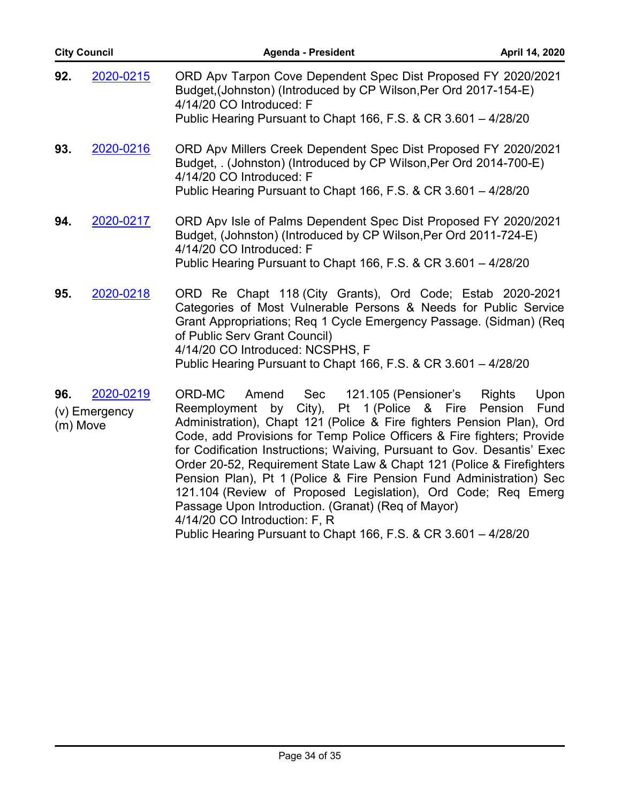|     | <b>City Council</b>                    | Agenda - President                                                                                                                                                                                                                                                                                                                                                                                                                                                                                                                                                                                                                                                                                    | April 14, 2020                           |
|-----|----------------------------------------|-------------------------------------------------------------------------------------------------------------------------------------------------------------------------------------------------------------------------------------------------------------------------------------------------------------------------------------------------------------------------------------------------------------------------------------------------------------------------------------------------------------------------------------------------------------------------------------------------------------------------------------------------------------------------------------------------------|------------------------------------------|
| 92. | 2020-0215                              | ORD Apv Tarpon Cove Dependent Spec Dist Proposed FY 2020/2021<br>Budget, (Johnston) (Introduced by CP Wilson, Per Ord 2017-154-E)<br>4/14/20 CO Introduced: F<br>Public Hearing Pursuant to Chapt 166, F.S. & CR 3.601 - 4/28/20                                                                                                                                                                                                                                                                                                                                                                                                                                                                      |                                          |
| 93. | 2020-0216                              | ORD Apv Millers Creek Dependent Spec Dist Proposed FY 2020/2021<br>Budget, . (Johnston) (Introduced by CP Wilson, Per Ord 2014-700-E)<br>4/14/20 CO Introduced: F<br>Public Hearing Pursuant to Chapt 166, F.S. & CR 3.601 - 4/28/20                                                                                                                                                                                                                                                                                                                                                                                                                                                                  |                                          |
| 94. | 2020-0217                              | ORD Apv Isle of Palms Dependent Spec Dist Proposed FY 2020/2021<br>Budget, (Johnston) (Introduced by CP Wilson, Per Ord 2011-724-E)<br>4/14/20 CO Introduced: F<br>Public Hearing Pursuant to Chapt 166, F.S. & CR 3.601 - 4/28/20                                                                                                                                                                                                                                                                                                                                                                                                                                                                    |                                          |
| 95. | 2020-0218                              | ORD Re Chapt 118 (City Grants), Ord Code; Estab 2020-2021<br>Categories of Most Vulnerable Persons & Needs for Public Service<br>Grant Appropriations; Req 1 Cycle Emergency Passage. (Sidman) (Req<br>of Public Serv Grant Council)<br>4/14/20 CO Introduced: NCSPHS, F<br>Public Hearing Pursuant to Chapt 166, F.S. & CR 3.601 - 4/28/20                                                                                                                                                                                                                                                                                                                                                           |                                          |
| 96. | 2020-0219<br>(v) Emergency<br>(m) Move | 121.105 (Pensioner's<br>ORD-MC<br>Sec<br>Amend<br>Reemployment by City), Pt 1 (Police & Fire<br>Administration), Chapt 121 (Police & Fire fighters Pension Plan), Ord<br>Code, add Provisions for Temp Police Officers & Fire fighters; Provide<br>for Codification Instructions; Waiving, Pursuant to Gov. Desantis' Exec<br>Order 20-52, Requirement State Law & Chapt 121 (Police & Firefighters<br>Pension Plan), Pt 1 (Police & Fire Pension Fund Administration) Sec<br>121.104 (Review of Proposed Legislation), Ord Code; Req<br>Emerg Passage Upon Introduction. (Granat) (Req of Mayor)<br>4/14/20 CO Introduction: F, R<br>Public Hearing Pursuant to Chapt 166, F.S. & CR 3.601 - 4/28/20 | Upon<br><b>Rights</b><br>Pension<br>Fund |